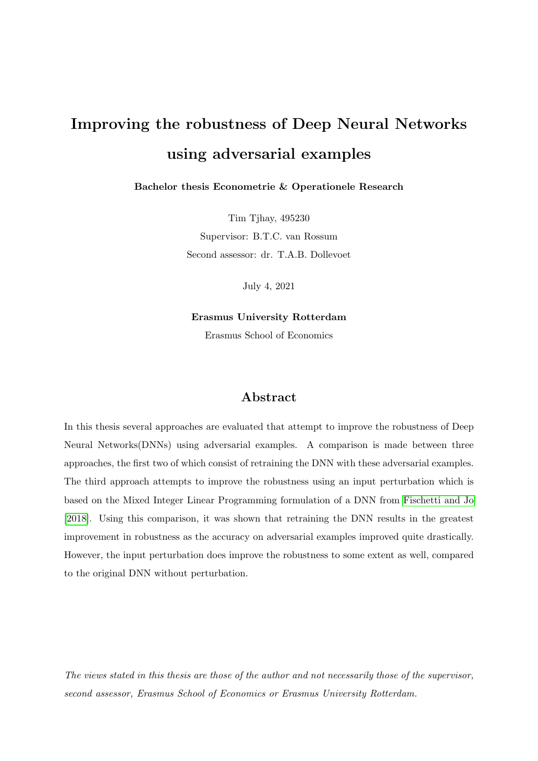# Improving the robustness of Deep Neural Networks using adversarial examples

Bachelor thesis Econometrie & Operationele Research

Tim Tjhay, 495230 Supervisor: B.T.C. van Rossum Second assessor: dr. T.A.B. Dollevoet

July 4, 2021

Erasmus University Rotterdam Erasmus School of Economics

## Abstract

In this thesis several approaches are evaluated that attempt to improve the robustness of Deep Neural Networks(DNNs) using adversarial examples. A comparison is made between three approaches, the first two of which consist of retraining the DNN with these adversarial examples. The third approach attempts to improve the robustness using an input perturbation which is based on the Mixed Integer Linear Programming formulation of a DNN from [Fischetti and Jo](#page-22-0) [\[2018\]](#page-22-0). Using this comparison, it was shown that retraining the DNN results in the greatest improvement in robustness as the accuracy on adversarial examples improved quite drastically. However, the input perturbation does improve the robustness to some extent as well, compared to the original DNN without perturbation.

The views stated in this thesis are those of the author and not necessarily those of the supervisor, second assessor, Erasmus School of Economics or Erasmus University Rotterdam.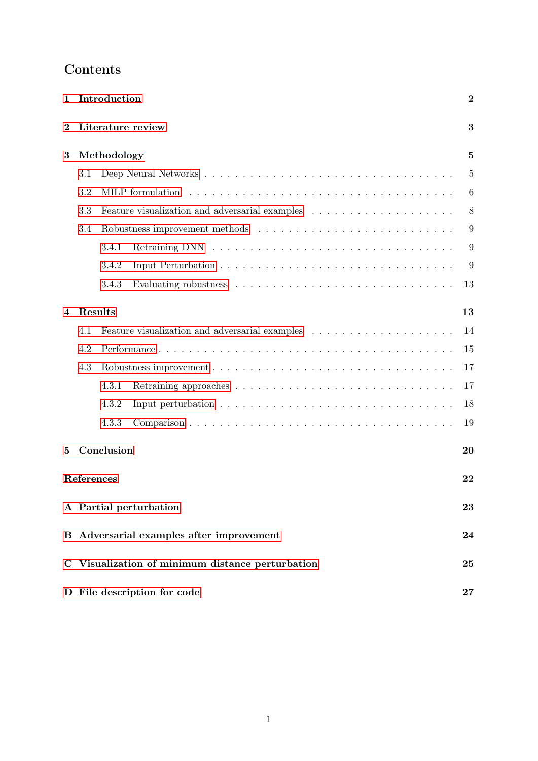| 1        | Introduction<br>$\overline{2}$ |             |                                                                                            |        |  |  |  |
|----------|--------------------------------|-------------|--------------------------------------------------------------------------------------------|--------|--|--|--|
| $\bf{2}$ |                                |             | Literature review                                                                          | 3      |  |  |  |
| 3        |                                | Methodology |                                                                                            | 5      |  |  |  |
|          | 3.1                            |             |                                                                                            | 5      |  |  |  |
|          | 3.2                            |             | MILP formulation                                                                           | 6      |  |  |  |
|          | 3.3                            |             | Feature visualization and adversarial examples $\ldots \ldots \ldots \ldots \ldots \ldots$ | 8      |  |  |  |
|          | 3.4                            |             |                                                                                            | 9      |  |  |  |
|          |                                | 3.4.1       |                                                                                            | 9      |  |  |  |
|          |                                | 3.4.2       |                                                                                            | 9      |  |  |  |
|          |                                | 3.4.3       |                                                                                            | 13     |  |  |  |
| 4        | Results                        |             |                                                                                            | 13     |  |  |  |
|          | 4.1                            |             |                                                                                            | 14     |  |  |  |
|          | 4.2                            |             |                                                                                            | 15     |  |  |  |
|          | 4.3                            |             |                                                                                            | 17     |  |  |  |
|          |                                | 4.3.1       |                                                                                            | 17     |  |  |  |
|          |                                | 4.3.2       |                                                                                            | 18     |  |  |  |
|          |                                | 4.3.3       |                                                                                            | 19     |  |  |  |
| 5        |                                | Conclusion  |                                                                                            | 20     |  |  |  |
|          | References                     |             |                                                                                            | 22     |  |  |  |
|          |                                |             | A Partial perturbation                                                                     | 23     |  |  |  |
|          |                                |             | <b>B</b> Adversarial examples after improvement                                            | 24     |  |  |  |
|          |                                |             | C Visualization of minimum distance perturbation                                           | 25     |  |  |  |
|          |                                |             | D File description for code                                                                | $27\,$ |  |  |  |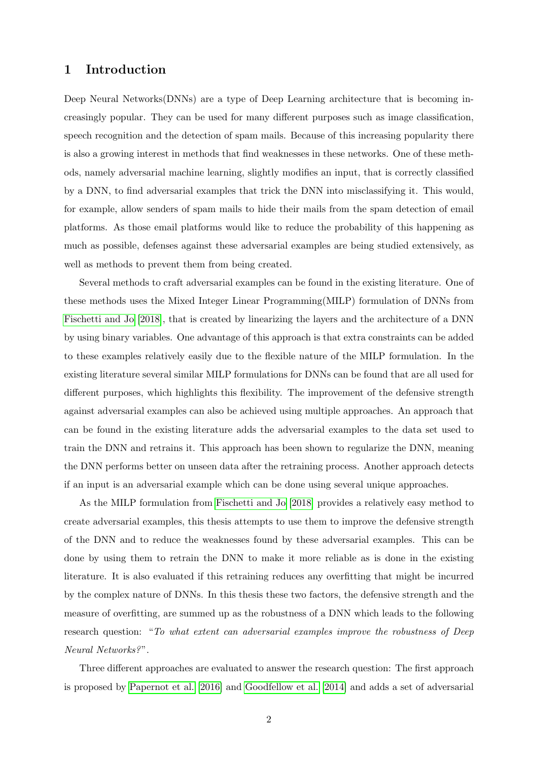## <span id="page-2-0"></span>1 Introduction

Deep Neural Networks(DNNs) are a type of Deep Learning architecture that is becoming increasingly popular. They can be used for many different purposes such as image classification, speech recognition and the detection of spam mails. Because of this increasing popularity there is also a growing interest in methods that find weaknesses in these networks. One of these methods, namely adversarial machine learning, slightly modifies an input, that is correctly classified by a DNN, to find adversarial examples that trick the DNN into misclassifying it. This would, for example, allow senders of spam mails to hide their mails from the spam detection of email platforms. As those email platforms would like to reduce the probability of this happening as much as possible, defenses against these adversarial examples are being studied extensively, as well as methods to prevent them from being created.

Several methods to craft adversarial examples can be found in the existing literature. One of these methods uses the Mixed Integer Linear Programming(MILP) formulation of DNNs from [Fischetti and Jo](#page-22-0) [\[2018\]](#page-22-0), that is created by linearizing the layers and the architecture of a DNN by using binary variables. One advantage of this approach is that extra constraints can be added to these examples relatively easily due to the flexible nature of the MILP formulation. In the existing literature several similar MILP formulations for DNNs can be found that are all used for different purposes, which highlights this flexibility. The improvement of the defensive strength against adversarial examples can also be achieved using multiple approaches. An approach that can be found in the existing literature adds the adversarial examples to the data set used to train the DNN and retrains it. This approach has been shown to regularize the DNN, meaning the DNN performs better on unseen data after the retraining process. Another approach detects if an input is an adversarial example which can be done using several unique approaches.

As the MILP formulation from [Fischetti and Jo](#page-22-0) [\[2018\]](#page-22-0) provides a relatively easy method to create adversarial examples, this thesis attempts to use them to improve the defensive strength of the DNN and to reduce the weaknesses found by these adversarial examples. This can be done by using them to retrain the DNN to make it more reliable as is done in the existing literature. It is also evaluated if this retraining reduces any overfitting that might be incurred by the complex nature of DNNs. In this thesis these two factors, the defensive strength and the measure of overfitting, are summed up as the robustness of a DNN which leads to the following research question: "To what extent can adversarial examples improve the robustness of Deep Neural Networks?".

Three different approaches are evaluated to answer the research question: The first approach is proposed by [Papernot et al.](#page-22-2) [\[2016\]](#page-22-2) and [Goodfellow et al.](#page-22-3) [\[2014\]](#page-22-3) and adds a set of adversarial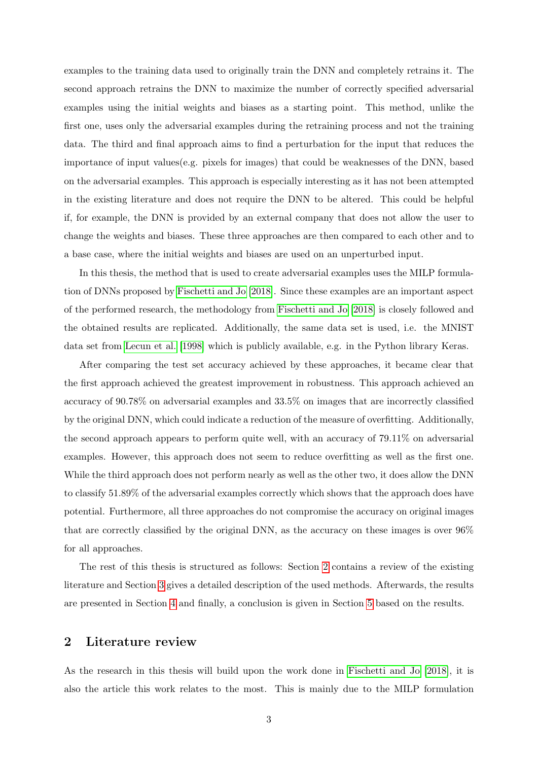examples to the training data used to originally train the DNN and completely retrains it. The second approach retrains the DNN to maximize the number of correctly specified adversarial examples using the initial weights and biases as a starting point. This method, unlike the first one, uses only the adversarial examples during the retraining process and not the training data. The third and final approach aims to find a perturbation for the input that reduces the importance of input values(e.g. pixels for images) that could be weaknesses of the DNN, based on the adversarial examples. This approach is especially interesting as it has not been attempted in the existing literature and does not require the DNN to be altered. This could be helpful if, for example, the DNN is provided by an external company that does not allow the user to change the weights and biases. These three approaches are then compared to each other and to a base case, where the initial weights and biases are used on an unperturbed input.

In this thesis, the method that is used to create adversarial examples uses the MILP formulation of DNNs proposed by [Fischetti and Jo](#page-22-0) [\[2018\]](#page-22-0). Since these examples are an important aspect of the performed research, the methodology from [Fischetti and Jo](#page-22-0) [\[2018\]](#page-22-0) is closely followed and the obtained results are replicated. Additionally, the same data set is used, i.e. the MNIST data set from [Lecun et al.](#page-22-4) [\[1998\]](#page-22-4) which is publicly available, e.g. in the Python library Keras.

After comparing the test set accuracy achieved by these approaches, it became clear that the first approach achieved the greatest improvement in robustness. This approach achieved an accuracy of 90.78% on adversarial examples and 33.5% on images that are incorrectly classified by the original DNN, which could indicate a reduction of the measure of overfitting. Additionally, the second approach appears to perform quite well, with an accuracy of 79.11% on adversarial examples. However, this approach does not seem to reduce overfitting as well as the first one. While the third approach does not perform nearly as well as the other two, it does allow the DNN to classify 51.89% of the adversarial examples correctly which shows that the approach does have potential. Furthermore, all three approaches do not compromise the accuracy on original images that are correctly classified by the original DNN, as the accuracy on these images is over 96% for all approaches.

The rest of this thesis is structured as follows: Section [2](#page-3-0) contains a review of the existing literature and Section [3](#page-5-0) gives a detailed description of the used methods. Afterwards, the results are presented in Section [4](#page-13-1) and finally, a conclusion is given in Section [5](#page-20-0) based on the results.

## <span id="page-3-0"></span>2 Literature review

As the research in this thesis will build upon the work done in [Fischetti and Jo](#page-22-0) [\[2018\]](#page-22-0), it is also the article this work relates to the most. This is mainly due to the MILP formulation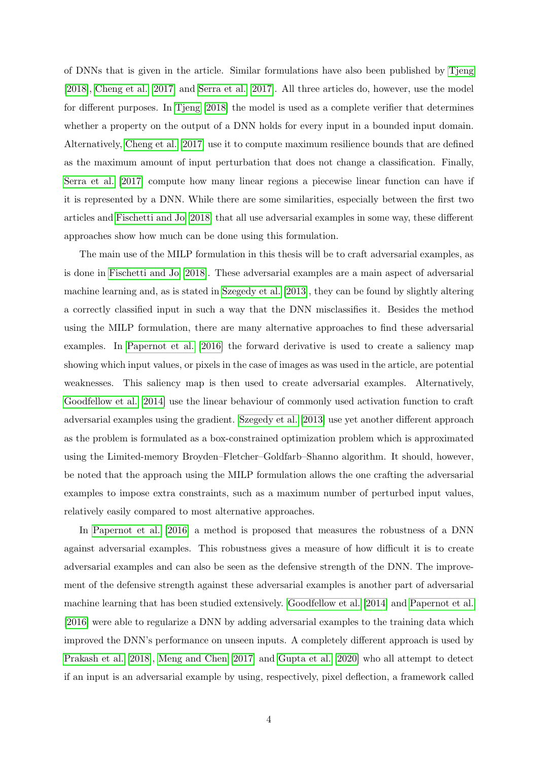of DNNs that is given in the article. Similar formulations have also been published by [Tjeng](#page-22-5) [\[2018\]](#page-22-5), [Cheng et al.](#page-22-6) [\[2017\]](#page-22-6) and [Serra et al.](#page-22-7) [\[2017\]](#page-22-7). All three articles do, however, use the model for different purposes. In [Tjeng](#page-22-5) [\[2018\]](#page-22-5) the model is used as a complete verifier that determines whether a property on the output of a DNN holds for every input in a bounded input domain. Alternatively, [Cheng et al.](#page-22-6) [\[2017\]](#page-22-6) use it to compute maximum resilience bounds that are defined as the maximum amount of input perturbation that does not change a classification. Finally, [Serra et al.](#page-22-7) [\[2017\]](#page-22-7) compute how many linear regions a piecewise linear function can have if it is represented by a DNN. While there are some similarities, especially between the first two articles and [Fischetti and Jo](#page-22-0) [\[2018\]](#page-22-0) that all use adversarial examples in some way, these different approaches show how much can be done using this formulation.

The main use of the MILP formulation in this thesis will be to craft adversarial examples, as is done in [Fischetti and Jo](#page-22-0) [\[2018\]](#page-22-0). These adversarial examples are a main aspect of adversarial machine learning and, as is stated in [Szegedy et al.](#page-22-8) [\[2013\]](#page-22-8), they can be found by slightly altering a correctly classified input in such a way that the DNN misclassifies it. Besides the method using the MILP formulation, there are many alternative approaches to find these adversarial examples. In [Papernot et al.](#page-22-2) [\[2016\]](#page-22-2) the forward derivative is used to create a saliency map showing which input values, or pixels in the case of images as was used in the article, are potential weaknesses. This saliency map is then used to create adversarial examples. Alternatively, [Goodfellow et al.](#page-22-3) [\[2014\]](#page-22-3) use the linear behaviour of commonly used activation function to craft adversarial examples using the gradient. [Szegedy et al.](#page-22-8) [\[2013\]](#page-22-8) use yet another different approach as the problem is formulated as a box-constrained optimization problem which is approximated using the Limited-memory Broyden–Fletcher–Goldfarb–Shanno algorithm. It should, however, be noted that the approach using the MILP formulation allows the one crafting the adversarial examples to impose extra constraints, such as a maximum number of perturbed input values, relatively easily compared to most alternative approaches.

In [Papernot et al.](#page-22-2) [\[2016\]](#page-22-2) a method is proposed that measures the robustness of a DNN against adversarial examples. This robustness gives a measure of how difficult it is to create adversarial examples and can also be seen as the defensive strength of the DNN. The improvement of the defensive strength against these adversarial examples is another part of adversarial machine learning that has been studied extensively. [Goodfellow et al.](#page-22-3) [\[2014\]](#page-22-3) and [Papernot et al.](#page-22-2) [\[2016\]](#page-22-2) were able to regularize a DNN by adding adversarial examples to the training data which improved the DNN's performance on unseen inputs. A completely different approach is used by [Prakash et al.](#page-22-9) [\[2018\]](#page-22-9), [Meng and Chen](#page-22-10) [\[2017\]](#page-22-10) and [Gupta et al.](#page-22-11) [\[2020\]](#page-22-11) who all attempt to detect if an input is an adversarial example by using, respectively, pixel deflection, a framework called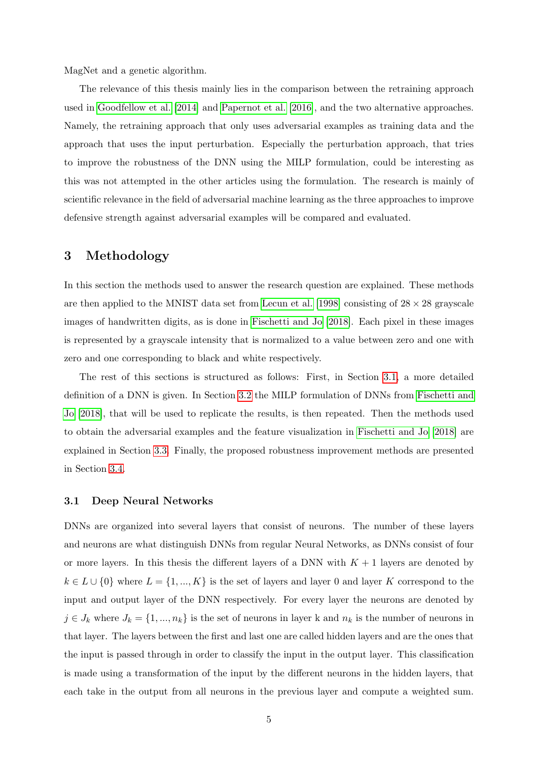MagNet and a genetic algorithm.

The relevance of this thesis mainly lies in the comparison between the retraining approach used in [Goodfellow et al.](#page-22-3) [\[2014\]](#page-22-3) and [Papernot et al.](#page-22-2) [\[2016\]](#page-22-2), and the two alternative approaches. Namely, the retraining approach that only uses adversarial examples as training data and the approach that uses the input perturbation. Especially the perturbation approach, that tries to improve the robustness of the DNN using the MILP formulation, could be interesting as this was not attempted in the other articles using the formulation. The research is mainly of scientific relevance in the field of adversarial machine learning as the three approaches to improve defensive strength against adversarial examples will be compared and evaluated.

## <span id="page-5-0"></span>3 Methodology

In this section the methods used to answer the research question are explained. These methods are then applied to the MNIST data set from [Lecun et al.](#page-22-4) [\[1998\]](#page-22-4) consisting of  $28 \times 28$  grayscale images of handwritten digits, as is done in [Fischetti and Jo](#page-22-0) [\[2018\]](#page-22-0). Each pixel in these images is represented by a grayscale intensity that is normalized to a value between zero and one with zero and one corresponding to black and white respectively.

The rest of this sections is structured as follows: First, in Section [3.1,](#page-5-1) a more detailed definition of a DNN is given. In Section [3.2](#page-6-0) the MILP formulation of DNNs from [Fischetti and](#page-22-0) [Jo](#page-22-0) [\[2018\]](#page-22-0), that will be used to replicate the results, is then repeated. Then the methods used to obtain the adversarial examples and the feature visualization in [Fischetti and Jo](#page-22-0) [\[2018\]](#page-22-0) are explained in Section [3.3.](#page-8-0) Finally, the proposed robustness improvement methods are presented in Section [3.4.](#page-9-0)

#### <span id="page-5-1"></span>3.1 Deep Neural Networks

DNNs are organized into several layers that consist of neurons. The number of these layers and neurons are what distinguish DNNs from regular Neural Networks, as DNNs consist of four or more layers. In this thesis the different layers of a DNN with  $K + 1$  layers are denoted by  $k \in L \cup \{0\}$  where  $L = \{1, ..., K\}$  is the set of layers and layer 0 and layer K correspond to the input and output layer of the DNN respectively. For every layer the neurons are denoted by  $j \in J_k$  where  $J_k = \{1, ..., n_k\}$  is the set of neurons in layer k and  $n_k$  is the number of neurons in that layer. The layers between the first and last one are called hidden layers and are the ones that the input is passed through in order to classify the input in the output layer. This classification is made using a transformation of the input by the different neurons in the hidden layers, that each take in the output from all neurons in the previous layer and compute a weighted sum.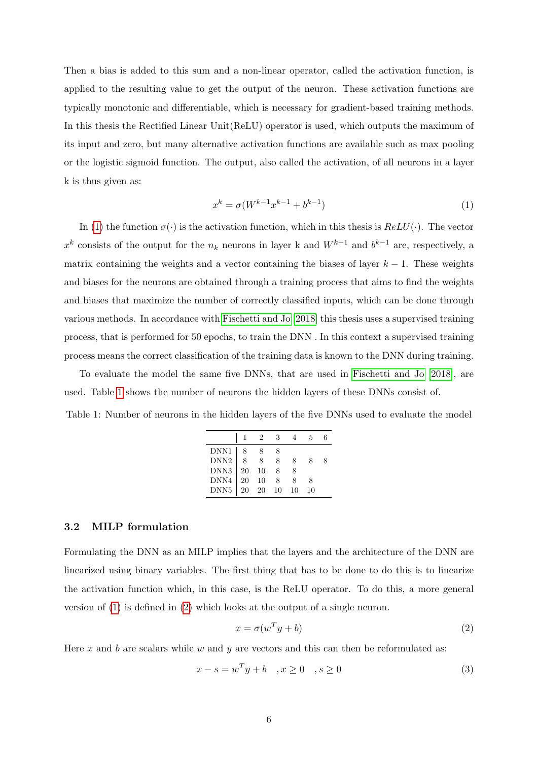Then a bias is added to this sum and a non-linear operator, called the activation function, is applied to the resulting value to get the output of the neuron. These activation functions are typically monotonic and differentiable, which is necessary for gradient-based training methods. In this thesis the Rectified Linear Unit(ReLU) operator is used, which outputs the maximum of its input and zero, but many alternative activation functions are available such as max pooling or the logistic sigmoid function. The output, also called the activation, of all neurons in a layer k is thus given as:

<span id="page-6-1"></span>
$$
x^{k} = \sigma(W^{k-1}x^{k-1} + b^{k-1})
$$
\n(1)

In [\(1\)](#page-6-1) the function  $\sigma(\cdot)$  is the activation function, which in this thesis is  $ReLU(\cdot)$ . The vector  $x^k$  consists of the output for the  $n_k$  neurons in layer k and  $W^{k-1}$  and  $b^{k-1}$  are, respectively, a matrix containing the weights and a vector containing the biases of layer  $k - 1$ . These weights and biases for the neurons are obtained through a training process that aims to find the weights and biases that maximize the number of correctly classified inputs, which can be done through various methods. In accordance with [Fischetti and Jo](#page-22-0) [\[2018\]](#page-22-0) this thesis uses a supervised training process, that is performed for 50 epochs, to train the DNN . In this context a supervised training process means the correct classification of the training data is known to the DNN during training.

To evaluate the model the same five DNNs, that are used in [Fischetti and Jo](#page-22-0) [\[2018\]](#page-22-0), are used. Table [1](#page-6-2) shows the number of neurons the hidden layers of these DNNs consist of.

<span id="page-6-2"></span>Table 1: Number of neurons in the hidden layers of the five DNNs used to evaluate the model

|                  |    |     | -3   |     | ъ. |  |
|------------------|----|-----|------|-----|----|--|
| DNN1             |    |     |      |     |    |  |
| DNN <sub>2</sub> |    |     | 8    |     |    |  |
| DNN <sub>3</sub> | 20 | 10  | 8    |     |    |  |
| DNN4             | 20 | 10  | 8    |     |    |  |
| DNN <sub>5</sub> | 20 | -20 | - 10 | -10 | 10 |  |

## <span id="page-6-0"></span>3.2 MILP formulation

Formulating the DNN as an MILP implies that the layers and the architecture of the DNN are linearized using binary variables. The first thing that has to be done to do this is to linearize the activation function which, in this case, is the ReLU operator. To do this, a more general version of [\(1\)](#page-6-1) is defined in [\(2\)](#page-6-3) which looks at the output of a single neuron.

<span id="page-6-3"></span>
$$
x = \sigma(w^T y + b) \tag{2}
$$

Here x and b are scalars while w and y are vectors and this can then be reformulated as:

$$
x - s = w^T y + b \quad , x \ge 0 \quad , s \ge 0 \tag{3}
$$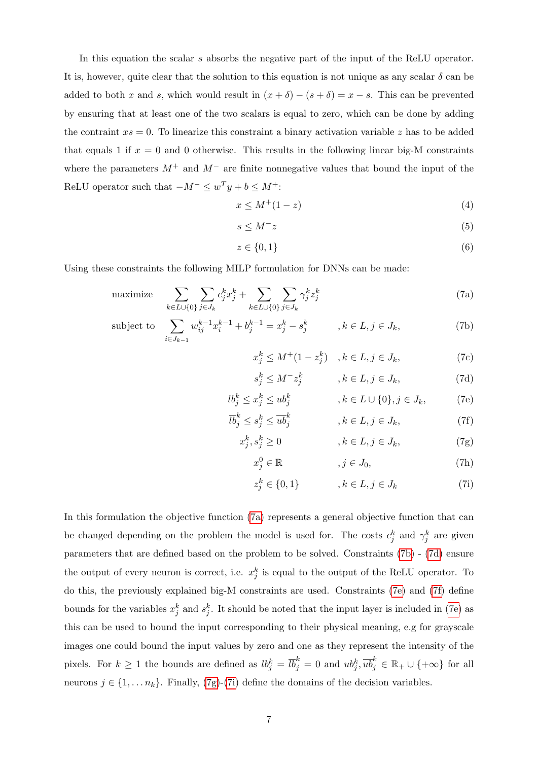In this equation the scalar s absorbs the negative part of the input of the ReLU operator. It is, however, quite clear that the solution to this equation is not unique as any scalar  $\delta$  can be added to both x and s, which would result in  $(x + \delta) - (s + \delta) = x - s$ . This can be prevented by ensuring that at least one of the two scalars is equal to zero, which can be done by adding the contraint  $xs = 0$ . To linearize this constraint a binary activation variable z has to be added that equals 1 if  $x = 0$  and 0 otherwise. This results in the following linear big-M constraints where the parameters  $M^+$  and  $M^-$  are finite nonnegative values that bound the input of the ReLU operator such that  $-M^- \leq w^T y + b \leq M^+$ :

$$
x \le M^+(1-z) \tag{4}
$$

$$
s \le M^- z \tag{5}
$$

$$
z \in \{0, 1\} \tag{6}
$$

Using these constraints the following MILP formulation for DNNs can be made:

maximize 
$$
\sum_{k \in L \cup \{0\}} \sum_{j \in J_k} c_j^k x_j^k + \sum_{k \in L \cup \{0\}} \sum_{j \in J_k} \gamma_j^k z_j^k
$$
 (7a)

subject to 
$$
\sum_{i \in J_{k-1}} w_{ij}^{k-1} x_i^{k-1} + b_j^{k-1} = x_j^k - s_j^k, \qquad k \in L, j \in J_k,
$$
 (7b)

<span id="page-7-1"></span><span id="page-7-0"></span>
$$
x_j^k \le M^+(1 - z_j^k) \quad , k \in L, j \in J_k,
$$
 (7c)

<span id="page-7-3"></span><span id="page-7-2"></span>
$$
s_j^k \le M^- z_j^k \qquad , k \in L, j \in J_k,
$$
\n(7d)

$$
lb_j^k \le x_j^k \le ub_j^k \qquad , k \in L \cup \{0\}, j \in J_k, \tag{7e}
$$

$$
\overline{lb}_j^k \le s_j^k \le \overline{ub}_j^k \qquad , k \in L, j \in J_k,
$$
\n(7f)

$$
x_j^k, s_j^k \ge 0 \qquad , k \in L, j \in J_k, \tag{7g}
$$

<span id="page-7-6"></span><span id="page-7-5"></span><span id="page-7-4"></span>
$$
j \in \mathbb{R} \qquad , j \in J_0,\tag{7h}
$$

$$
z_j^k \in \{0, 1\} \qquad , k \in L, j \in J_k \tag{7i}
$$

In this formulation the objective function [\(7a\)](#page-7-0) represents a general objective function that can be changed depending on the problem the model is used for. The costs  $c_j^k$  and  $\gamma_j^k$  are given parameters that are defined based on the problem to be solved. Constraints [\(7b\)](#page-7-1) - [\(7d\)](#page-7-2) ensure the output of every neuron is correct, i.e.  $x_j^k$  is equal to the output of the ReLU operator. To do this, the previously explained big-M constraints are used. Constraints [\(7e\)](#page-7-3) and [\(7f\)](#page-7-4) define bounds for the variables  $x_j^k$  and  $s_j^k$ . It should be noted that the input layer is included in [\(7e\)](#page-7-3) as this can be used to bound the input corresponding to their physical meaning, e.g for grayscale images one could bound the input values by zero and one as they represent the intensity of the pixels. For  $k \geq 1$  the bounds are defined as  $lb_j^k = \overline{lb}_j^k = 0$  and  $ub_j^k$ ,  $\overline{ub}_j^k \in \mathbb{R}_+ \cup \{+\infty\}$  for all neurons  $j \in \{1, \ldots n_k\}$ . Finally, [\(7g\)](#page-7-5)-[\(7i\)](#page-7-6) define the domains of the decision variables.

 $x_i^0$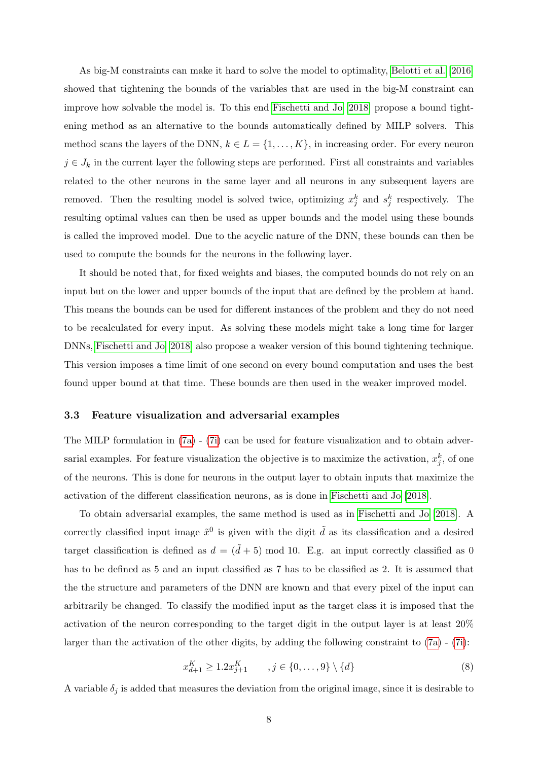As big-M constraints can make it hard to solve the model to optimality, [Belotti et al.](#page-22-12) [\[2016\]](#page-22-12) showed that tightening the bounds of the variables that are used in the big-M constraint can improve how solvable the model is. To this end [Fischetti and Jo](#page-22-0) [\[2018\]](#page-22-0) propose a bound tightening method as an alternative to the bounds automatically defined by MILP solvers. This method scans the layers of the DNN,  $k \in L = \{1, ..., K\}$ , in increasing order. For every neuron  $j \in J_k$  in the current layer the following steps are performed. First all constraints and variables related to the other neurons in the same layer and all neurons in any subsequent layers are removed. Then the resulting model is solved twice, optimizing  $x_j^k$  and  $s_j^k$  respectively. The resulting optimal values can then be used as upper bounds and the model using these bounds is called the improved model. Due to the acyclic nature of the DNN, these bounds can then be used to compute the bounds for the neurons in the following layer.

It should be noted that, for fixed weights and biases, the computed bounds do not rely on an input but on the lower and upper bounds of the input that are defined by the problem at hand. This means the bounds can be used for different instances of the problem and they do not need to be recalculated for every input. As solving these models might take a long time for larger DNNs, [Fischetti and Jo](#page-22-0) [\[2018\]](#page-22-0) also propose a weaker version of this bound tightening technique. This version imposes a time limit of one second on every bound computation and uses the best found upper bound at that time. These bounds are then used in the weaker improved model.

## <span id="page-8-0"></span>3.3 Feature visualization and adversarial examples

The MILP formulation in  $(7a)$  -  $(7i)$  can be used for feature visualization and to obtain adversarial examples. For feature visualization the objective is to maximize the activation,  $x_j^k$ , of one of the neurons. This is done for neurons in the output layer to obtain inputs that maximize the activation of the different classification neurons, as is done in [Fischetti and Jo](#page-22-0) [\[2018\]](#page-22-0).

To obtain adversarial examples, the same method is used as in [Fischetti and Jo](#page-22-0) [\[2018\]](#page-22-0). A correctly classified input image  $\tilde{x}^0$  is given with the digit  $\tilde{d}$  as its classification and a desired target classification is defined as  $d = (\tilde{d} + 5) \mod 10$ . E.g. an input correctly classified as 0 has to be defined as 5 and an input classified as 7 has to be classified as 2. It is assumed that the the structure and parameters of the DNN are known and that every pixel of the input can arbitrarily be changed. To classify the modified input as the target class it is imposed that the activation of the neuron corresponding to the target digit in the output layer is at least 20% larger than the activation of the other digits, by adding the following constraint to [\(7a\)](#page-7-0) - [\(7i\)](#page-7-6):

<span id="page-8-1"></span>
$$
x_{d+1}^K \ge 1.2x_{j+1}^K, \qquad j \in \{0, \dots, 9\} \setminus \{d\} \tag{8}
$$

A variable  $\delta_i$  is added that measures the deviation from the original image, since it is desirable to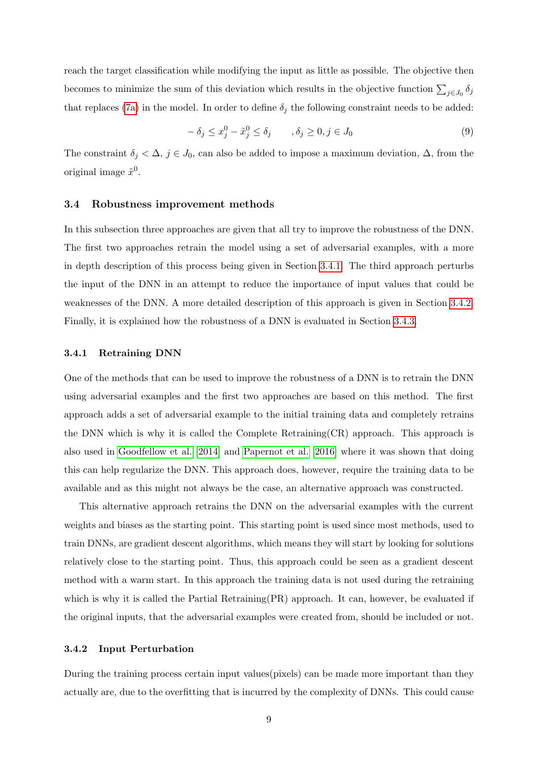reach the target classification while modifying the input as little as possible. The objective then becomes to minimize the sum of this deviation which results in the objective function  $\sum_{j\in J_0} \delta_j$ that replaces [\(7a\)](#page-7-0) in the model. In order to define  $\delta_j$  the following constraint needs to be added:

$$
-\delta_j \le x_j^0 - \tilde{x}_j^0 \le \delta_j \qquad , \delta_j \ge 0, j \in J_0 \tag{9}
$$

The constraint  $\delta_j < \Delta$ ,  $j \in J_0$ , can also be added to impose a maximum deviation,  $\Delta$ , from the original image  $\tilde{x}^0$ .

#### <span id="page-9-0"></span>3.4 Robustness improvement methods

In this subsection three approaches are given that all try to improve the robustness of the DNN. The first two approaches retrain the model using a set of adversarial examples, with a more in depth description of this process being given in Section [3.4.1.](#page-9-1) The third approach perturbs the input of the DNN in an attempt to reduce the importance of input values that could be weaknesses of the DNN. A more detailed description of this approach is given in Section [3.4.2.](#page-9-2) Finally, it is explained how the robustness of a DNN is evaluated in Section [3.4.3.](#page-13-0)

#### <span id="page-9-1"></span>3.4.1 Retraining DNN

One of the methods that can be used to improve the robustness of a DNN is to retrain the DNN using adversarial examples and the first two approaches are based on this method. The first approach adds a set of adversarial example to the initial training data and completely retrains the DNN which is why it is called the Complete Retraining(CR) approach. This approach is also used in [Goodfellow et al.](#page-22-3) [\[2014\]](#page-22-3) and [Papernot et al.](#page-22-2) [\[2016\]](#page-22-2) where it was shown that doing this can help regularize the DNN. This approach does, however, require the training data to be available and as this might not always be the case, an alternative approach was constructed.

This alternative approach retrains the DNN on the adversarial examples with the current weights and biases as the starting point. This starting point is used since most methods, used to train DNNs, are gradient descent algorithms, which means they will start by looking for solutions relatively close to the starting point. Thus, this approach could be seen as a gradient descent method with a warm start. In this approach the training data is not used during the retraining which is why it is called the Partial Retraining(PR) approach. It can, however, be evaluated if the original inputs, that the adversarial examples were created from, should be included or not.

#### <span id="page-9-2"></span>3.4.2 Input Perturbation

During the training process certain input values(pixels) can be made more important than they actually are, due to the overfitting that is incurred by the complexity of DNNs. This could cause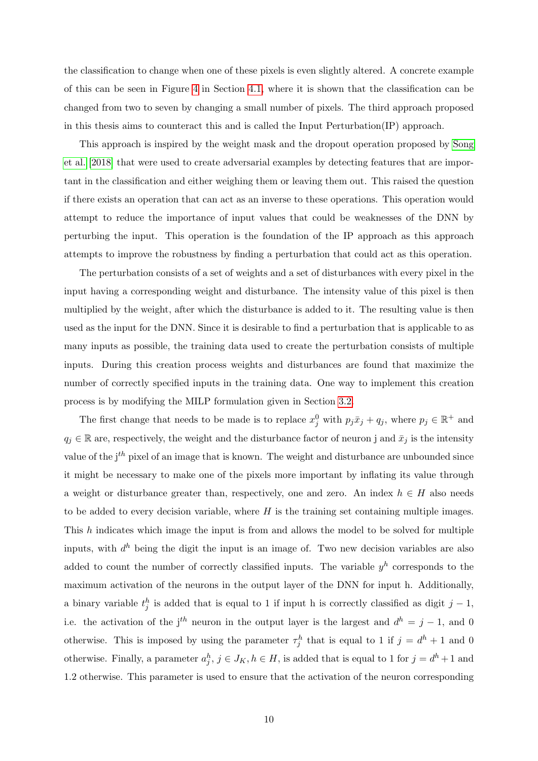the classification to change when one of these pixels is even slightly altered. A concrete example of this can be seen in Figure [4](#page-15-1) in Section [4.1,](#page-14-0) where it is shown that the classification can be changed from two to seven by changing a small number of pixels. The third approach proposed in this thesis aims to counteract this and is called the Input Perturbation(IP) approach.

This approach is inspired by the weight mask and the dropout operation proposed by [Song](#page-22-13) [et al.](#page-22-13) [\[2018\]](#page-22-13) that were used to create adversarial examples by detecting features that are important in the classification and either weighing them or leaving them out. This raised the question if there exists an operation that can act as an inverse to these operations. This operation would attempt to reduce the importance of input values that could be weaknesses of the DNN by perturbing the input. This operation is the foundation of the IP approach as this approach attempts to improve the robustness by finding a perturbation that could act as this operation.

The perturbation consists of a set of weights and a set of disturbances with every pixel in the input having a corresponding weight and disturbance. The intensity value of this pixel is then multiplied by the weight, after which the disturbance is added to it. The resulting value is then used as the input for the DNN. Since it is desirable to find a perturbation that is applicable to as many inputs as possible, the training data used to create the perturbation consists of multiple inputs. During this creation process weights and disturbances are found that maximize the number of correctly specified inputs in the training data. One way to implement this creation process is by modifying the MILP formulation given in Section [3.2.](#page-6-0)

The first change that needs to be made is to replace  $x_j^0$  with  $p_j \bar{x}_j + q_j$ , where  $p_j \in \mathbb{R}^+$  and  $q_j \in \mathbb{R}$  are, respectively, the weight and the disturbance factor of neuron j and  $\bar{x}_j$  is the intensity value of the  $i^{th}$  pixel of an image that is known. The weight and disturbance are unbounded since it might be necessary to make one of the pixels more important by inflating its value through a weight or disturbance greater than, respectively, one and zero. An index  $h \in H$  also needs to be added to every decision variable, where  $H$  is the training set containing multiple images. This h indicates which image the input is from and allows the model to be solved for multiple inputs, with  $d^h$  being the digit the input is an image of. Two new decision variables are also added to count the number of correctly classified inputs. The variable  $y^h$  corresponds to the maximum activation of the neurons in the output layer of the DNN for input h. Additionally, a binary variable  $t_j^h$  is added that is equal to 1 if input h is correctly classified as digit  $j-1$ , i.e. the activation of the j<sup>th</sup> neuron in the output layer is the largest and  $d^h = j - 1$ , and 0 otherwise. This is imposed by using the parameter  $\tau_j^h$  that is equal to 1 if  $j = d^h + 1$  and 0 otherwise. Finally, a parameter  $a_j^h$ ,  $j \in J_K$ ,  $h \in H$ , is added that is equal to 1 for  $j = d^h + 1$  and 1.2 otherwise. This parameter is used to ensure that the activation of the neuron corresponding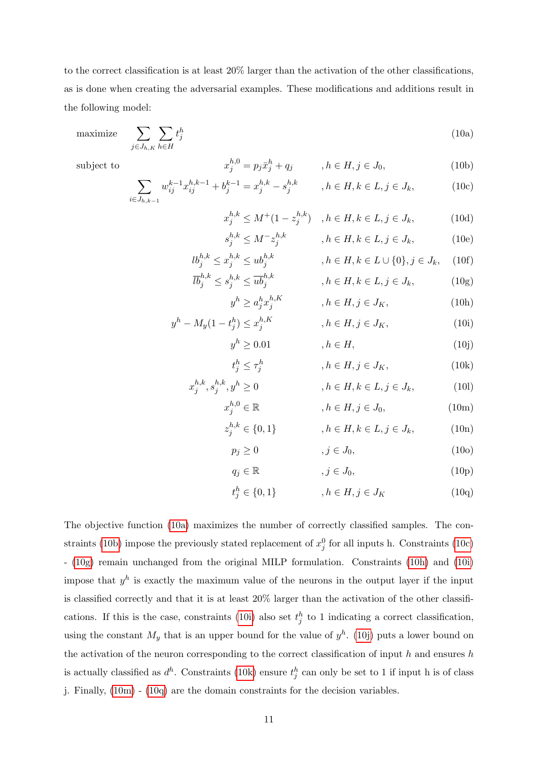to the correct classification is at least 20% larger than the activation of the other classifications, as is done when creating the adversarial examples. These modifications and additions result in the following model:

$$
\text{maximize} \quad \sum_{j \in J_{h,K}} \sum_{h \in H} t_j^h \tag{10a}
$$

 $h, h$ 

 $t_j^h \leq \tau_j^h$ 

subject to  $x$ 

$$
x_j^{h,0} = p_j \bar{x}_j^h + q_j, \qquad , h \in H, j \in J_0,
$$
\n
$$
k-1, h, k-1, h, k, h, k, l, \in H, j \in J, j \in J
$$
\n
$$
(10)
$$

$$
\hbox{subject to}\\
$$

$$
\sum_{i \in J_{h,k-1}} w_{ij}^{k-1} x_{ij}^{h,k-1} + b_j^{k-1} = x_j^{h,k} - s_j^{h,k} \qquad , h \in H, k \in L, j \in J_k,
$$
\n(10c)

<span id="page-11-2"></span><span id="page-11-1"></span><span id="page-11-0"></span>
$$
x_j^{h,k} \le M^+(1 - z_j^{h,k}) \quad , h \in H, k \in L, j \in J_k,
$$
 (10d)

$$
s_j^{h,k} \le M^{-} z_j^{h,k} \qquad , h \in H, k \in L, j \in J_k, \qquad (10e)
$$

$$
lb_j^{h,k} \le x_j^{h,k} \le ub_j^{h,k} \qquad , h \in H, k \in L \cup \{0\}, j \in J_k, \quad (10f)
$$
  

$$
\overline{lb}_j^{h,k} \le s_j^{h,k} \le \overline{ub}_j^{h,k} \qquad , h \in H, k \in L, j \in J_k, \quad (10g)
$$

$$
b_j^{n,k} \le s_j^{n,k} \le ub_j^{n,k} \qquad , h \in H, k \in L, j \in J_k,
$$
\n
$$
y^h \ge a_j^h x_j^{h,K} \qquad , h \in H, j \in J_K,
$$
\n(10h)

$$
y^{h} - M_{y}(1 - t_{j}^{h}) \leq x_{j}^{h,K} \qquad , h \in H, j \in J_{K}, \qquad (10i)
$$

$$
y^h \ge 0.01 \qquad \qquad , h \in H, \tag{10j}
$$

<span id="page-11-9"></span><span id="page-11-8"></span><span id="page-11-7"></span><span id="page-11-6"></span><span id="page-11-5"></span><span id="page-11-4"></span><span id="page-11-3"></span>
$$
,h\in H,j\in J_K,\qquad \qquad (10k)
$$

$$
x_j^{h,k}, s_j^{h,k}, y^h \ge 0 \t, h \in H, k \in L, j \in J_k,
$$
\n(101)

$$
x_j^{h,0} \in \mathbb{R} \qquad , h \in H, j \in J_0,
$$
 (10m)

$$
z_j^{h,k} \in \{0, 1\} \qquad , h \in H, k \in L, j \in J_k, \qquad (10n)
$$

$$
p_j \ge 0 \qquad , j \in J_0,\tag{100}
$$

$$
q_j \in \mathbb{R} \qquad , j \in J_0, \tag{10p}
$$

$$
t_j^h \in \{0, 1\} \qquad , h \in H, j \in J_K \qquad (10q)
$$

The objective function [\(10a\)](#page-11-0) maximizes the number of correctly classified samples. The con-straints [\(10b\)](#page-11-1) impose the previously stated replacement of  $x_j^0$  for all inputs h. Constraints [\(10c\)](#page-11-2) - [\(10g\)](#page-11-3) remain unchanged from the original MILP formulation. Constraints [\(10h\)](#page-11-4) and [\(10i\)](#page-11-5) impose that  $y^h$  is exactly the maximum value of the neurons in the output layer if the input is classified correctly and that it is at least 20% larger than the activation of the other classifi-cations. If this is the case, constraints [\(10i\)](#page-11-5) also set  $t_j^h$  to 1 indicating a correct classification, using the constant  $M_y$  that is an upper bound for the value of  $y^h$ . [\(10j\)](#page-11-6) puts a lower bound on the activation of the neuron corresponding to the correct classification of input  $h$  and ensures  $h$ is actually classified as  $d^h$ . Constraints [\(10k\)](#page-11-7) ensure  $t_j^h$  can only be set to 1 if input h is of class j. Finally, [\(10m\)](#page-11-8) - [\(10q\)](#page-11-9) are the domain constraints for the decision variables.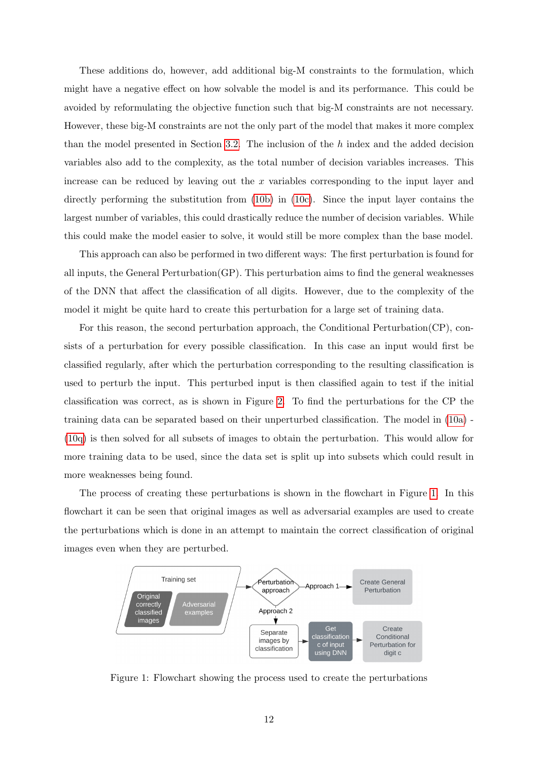These additions do, however, add additional big-M constraints to the formulation, which might have a negative effect on how solvable the model is and its performance. This could be avoided by reformulating the objective function such that big-M constraints are not necessary. However, these big-M constraints are not the only part of the model that makes it more complex than the model presented in Section [3.2.](#page-6-0) The inclusion of the h index and the added decision variables also add to the complexity, as the total number of decision variables increases. This increase can be reduced by leaving out the x variables corresponding to the input layer and directly performing the substitution from [\(10b\)](#page-11-1) in [\(10c\)](#page-11-2). Since the input layer contains the largest number of variables, this could drastically reduce the number of decision variables. While this could make the model easier to solve, it would still be more complex than the base model.

This approach can also be performed in two different ways: The first perturbation is found for all inputs, the General Perturbation(GP). This perturbation aims to find the general weaknesses of the DNN that affect the classification of all digits. However, due to the complexity of the model it might be quite hard to create this perturbation for a large set of training data.

For this reason, the second perturbation approach, the Conditional Perturbation(CP), consists of a perturbation for every possible classification. In this case an input would first be classified regularly, after which the perturbation corresponding to the resulting classification is used to perturb the input. This perturbed input is then classified again to test if the initial classification was correct, as is shown in Figure [2.](#page-13-2) To find the perturbations for the CP the training data can be separated based on their unperturbed classification. The model in [\(10a\)](#page-11-0) - [\(10q\)](#page-11-9) is then solved for all subsets of images to obtain the perturbation. This would allow for more training data to be used, since the data set is split up into subsets which could result in more weaknesses being found.

The process of creating these perturbations is shown in the flowchart in Figure [1.](#page-12-0) In this flowchart it can be seen that original images as well as adversarial examples are used to create the perturbations which is done in an attempt to maintain the correct classification of original images even when they are perturbed.

<span id="page-12-0"></span>

Figure 1: Flowchart showing the process used to create the perturbations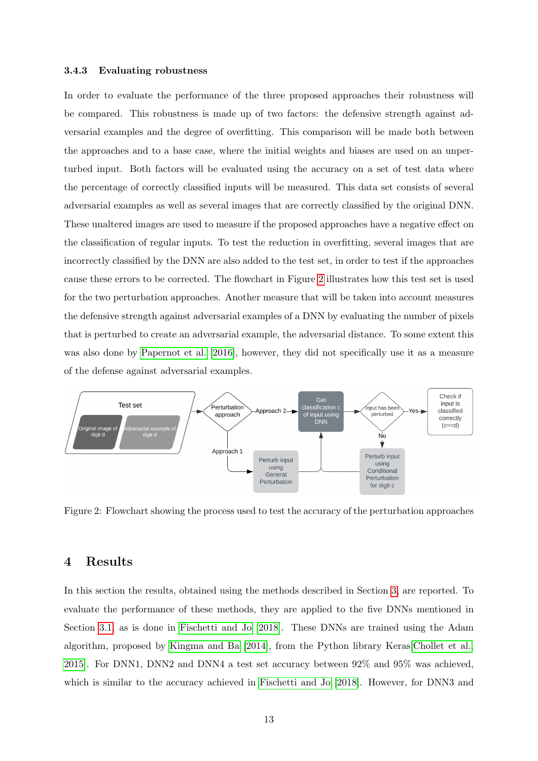#### <span id="page-13-0"></span>3.4.3 Evaluating robustness

In order to evaluate the performance of the three proposed approaches their robustness will be compared. This robustness is made up of two factors: the defensive strength against adversarial examples and the degree of overfitting. This comparison will be made both between the approaches and to a base case, where the initial weights and biases are used on an unperturbed input. Both factors will be evaluated using the accuracy on a set of test data where the percentage of correctly classified inputs will be measured. This data set consists of several adversarial examples as well as several images that are correctly classified by the original DNN. These unaltered images are used to measure if the proposed approaches have a negative effect on the classification of regular inputs. To test the reduction in overfitting, several images that are incorrectly classified by the DNN are also added to the test set, in order to test if the approaches cause these errors to be corrected. The flowchart in Figure [2](#page-13-2) illustrates how this test set is used for the two perturbation approaches. Another measure that will be taken into account measures the defensive strength against adversarial examples of a DNN by evaluating the number of pixels that is perturbed to create an adversarial example, the adversarial distance. To some extent this was also done by [Papernot et al.](#page-22-2) [\[2016\]](#page-22-2), however, they did not specifically use it as a measure of the defense against adversarial examples.

<span id="page-13-2"></span>

Figure 2: Flowchart showing the process used to test the accuracy of the perturbation approaches

## <span id="page-13-1"></span>4 Results

In this section the results, obtained using the methods described in Section [3,](#page-5-0) are reported. To evaluate the performance of these methods, they are applied to the five DNNs mentioned in Section [3.1,](#page-5-1) as is done in [Fischetti and Jo](#page-22-0) [\[2018\]](#page-22-0). These DNNs are trained using the Adam algorithm, proposed by [Kingma and Ba](#page-22-14) [\[2014\]](#page-22-14), from the Python library Keras[\[Chollet et al.,](#page-22-15) [2015\]](#page-22-15). For DNN1, DNN2 and DNN4 a test set accuracy between 92% and 95% was achieved, which is similar to the accuracy achieved in [Fischetti and Jo](#page-22-0) [\[2018\]](#page-22-0). However, for DNN3 and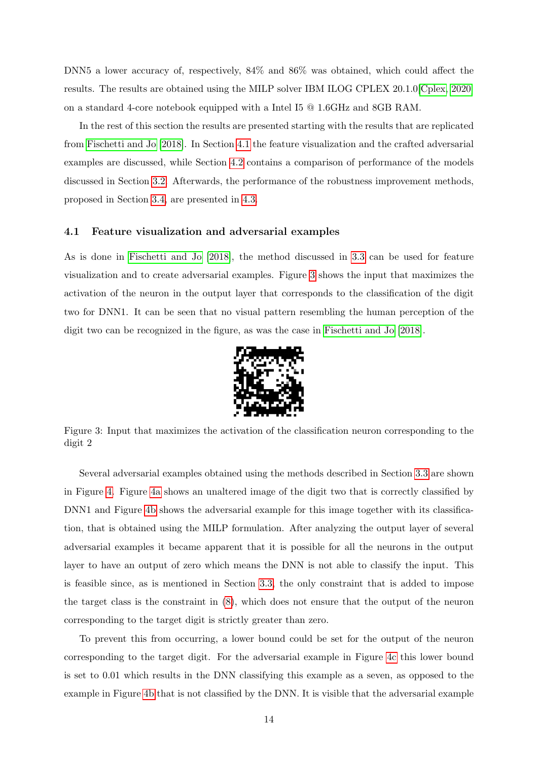DNN5 a lower accuracy of, respectively, 84% and 86% was obtained, which could affect the results. The results are obtained using the MILP solver IBM ILOG CPLEX 20.1.0[\[Cplex, 2020\]](#page-22-16) on a standard 4-core notebook equipped with a Intel I5 @ 1.6GHz and 8GB RAM.

In the rest of this section the results are presented starting with the results that are replicated from [Fischetti and Jo](#page-22-0) [\[2018\]](#page-22-0). In Section [4.1](#page-14-0) the feature visualization and the crafted adversarial examples are discussed, while Section [4.2](#page-15-0) contains a comparison of performance of the models discussed in Section [3.2.](#page-6-0) Afterwards, the performance of the robustness improvement methods, proposed in Section [3.4,](#page-9-0) are presented in [4.3.](#page-17-0)

## <span id="page-14-0"></span>4.1 Feature visualization and adversarial examples

As is done in [Fischetti and Jo](#page-22-0) [\[2018\]](#page-22-0), the method discussed in [3.3](#page-8-0) can be used for feature visualization and to create adversarial examples. Figure [3](#page-14-1) shows the input that maximizes the activation of the neuron in the output layer that corresponds to the classification of the digit two for DNN1. It can be seen that no visual pattern resembling the human perception of the digit two can be recognized in the figure, as was the case in [Fischetti and Jo](#page-22-0) [\[2018\]](#page-22-0).

<span id="page-14-1"></span>

Figure 3: Input that maximizes the activation of the classification neuron corresponding to the digit 2

Several adversarial examples obtained using the methods described in Section [3.3](#page-8-0) are shown in Figure [4.](#page-15-1) Figure [4a](#page-15-1) shows an unaltered image of the digit two that is correctly classified by DNN1 and Figure [4b](#page-15-1) shows the adversarial example for this image together with its classification, that is obtained using the MILP formulation. After analyzing the output layer of several adversarial examples it became apparent that it is possible for all the neurons in the output layer to have an output of zero which means the DNN is not able to classify the input. This is feasible since, as is mentioned in Section [3.3,](#page-8-0) the only constraint that is added to impose the target class is the constraint in [\(8\)](#page-8-1), which does not ensure that the output of the neuron corresponding to the target digit is strictly greater than zero.

To prevent this from occurring, a lower bound could be set for the output of the neuron corresponding to the target digit. For the adversarial example in Figure [4c](#page-15-1) this lower bound is set to 0.01 which results in the DNN classifying this example as a seven, as opposed to the example in Figure [4b](#page-15-1) that is not classified by the DNN. It is visible that the adversarial example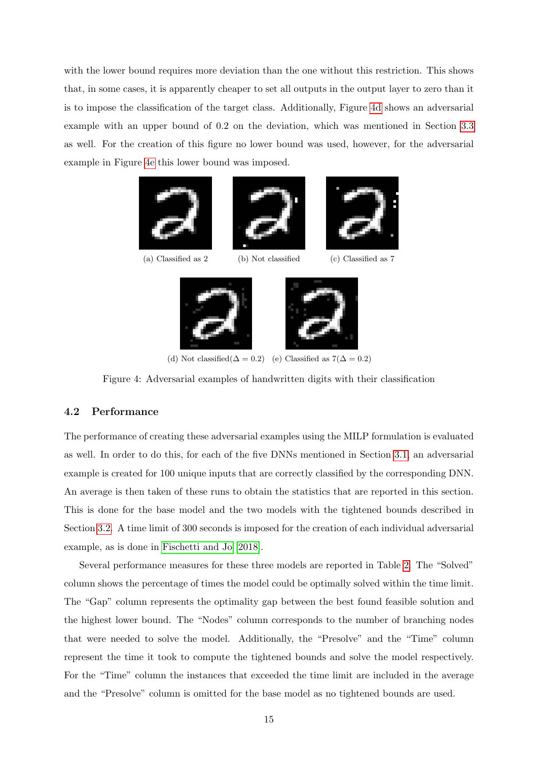with the lower bound requires more deviation than the one without this restriction. This shows that, in some cases, it is apparently cheaper to set all outputs in the output layer to zero than it is to impose the classification of the target class. Additionally, Figure [4d](#page-15-1) shows an adversarial example with an upper bound of 0.2 on the deviation, which was mentioned in Section [3.3](#page-8-0) as well. For the creation of this figure no lower bound was used, however, for the adversarial example in Figure [4e](#page-15-1) this lower bound was imposed.

<span id="page-15-1"></span>





(a) Classified as 2 (b) Not classified (c) Classified as 7



(d) Not classified( $\Delta = 0.2$ ) (e) Classified as  $7(\Delta = 0.2)$ 

Figure 4: Adversarial examples of handwritten digits with their classification

## <span id="page-15-0"></span>4.2 Performance

The performance of creating these adversarial examples using the MILP formulation is evaluated as well. In order to do this, for each of the five DNNs mentioned in Section [3.1,](#page-5-1) an adversarial example is created for 100 unique inputs that are correctly classified by the corresponding DNN. An average is then taken of these runs to obtain the statistics that are reported in this section. This is done for the base model and the two models with the tightened bounds described in Section [3.2.](#page-6-0) A time limit of 300 seconds is imposed for the creation of each individual adversarial example, as is done in [Fischetti and Jo](#page-22-0) [\[2018\]](#page-22-0).

Several performance measures for these three models are reported in Table [2.](#page-16-0) The "Solved" column shows the percentage of times the model could be optimally solved within the time limit. The "Gap" column represents the optimality gap between the best found feasible solution and the highest lower bound. The "Nodes" column corresponds to the number of branching nodes that were needed to solve the model. Additionally, the "Presolve" and the "Time" column represent the time it took to compute the tightened bounds and solve the model respectively. For the "Time" column the instances that exceeded the time limit are included in the average and the "Presolve" column is omitted for the base model as no tightened bounds are used.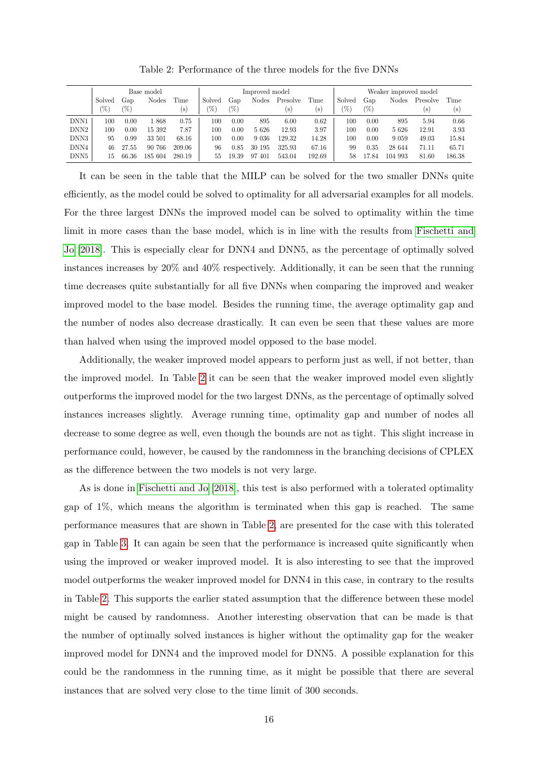<span id="page-16-0"></span>

|                  | Base model |               |         |        | Improved model |       |              |                            | Weaker improved model     |        |       |         |          |        |
|------------------|------------|---------------|---------|--------|----------------|-------|--------------|----------------------------|---------------------------|--------|-------|---------|----------|--------|
|                  | Solved     | Gap           | Nodes   | Time   | Solved         | Gap   | <b>Nodes</b> | Presolve                   | Time                      | Solved | Gap   | Nodes   | Presolve | Time   |
|                  | 76)        | $\frac{1}{2}$ |         | (s)    | '%`            | 70)   |              | $\left( \mathrm{s}\right)$ | $\left[ \text{s} \right]$ | (%`    | (%)   |         | (s)      | (s)    |
| DNN1             | 100        | 0.00          | 1868    | 0.75   | 100            | 0.00  | 895          | 6.00                       | 0.62                      | 100    | 0.00  | 895     | 5.94     | 0.66   |
| DNN <sub>2</sub> | 100        | 0.00          | 15 392  | 7.87   | 100            | 0.00  | 5626         | 12.93                      | 3.97                      | 100    | 0.00  | 5626    | 12.91    | 3.93   |
| DNN3             | 95         | 0.99          | 33 501  | 68.16  | 100            | 0.00  | 9 0 36       | 129.32                     | 14.28                     | 100    | 0.00  | 9 0 5 9 | 49.03    | 15.84  |
| DNN4             | 46         | 27.55         | 90 766  | 209.06 | 96             | 0.85  | 30 195       | 325.93                     | 67.16                     | 99     | 0.35  | 28 644  | 71.11    | 65.71  |
| DNN5             | 15         | 66.36         | 185 604 | 280.19 | 55             | 19.39 | 97<br>401    | 543.04                     | 192.69                    | 58     | 17.84 | 104 993 | 81.60    | 186.38 |

Table 2: Performance of the three models for the five DNNs

It can be seen in the table that the MILP can be solved for the two smaller DNNs quite efficiently, as the model could be solved to optimality for all adversarial examples for all models. For the three largest DNNs the improved model can be solved to optimality within the time limit in more cases than the base model, which is in line with the results from [Fischetti and](#page-22-0) [Jo](#page-22-0) [\[2018\]](#page-22-0). This is especially clear for DNN4 and DNN5, as the percentage of optimally solved instances increases by 20% and 40% respectively. Additionally, it can be seen that the running time decreases quite substantially for all five DNNs when comparing the improved and weaker improved model to the base model. Besides the running time, the average optimality gap and the number of nodes also decrease drastically. It can even be seen that these values are more than halved when using the improved model opposed to the base model.

Additionally, the weaker improved model appears to perform just as well, if not better, than the improved model. In Table [2](#page-16-0) it can be seen that the weaker improved model even slightly outperforms the improved model for the two largest DNNs, as the percentage of optimally solved instances increases slightly. Average running time, optimality gap and number of nodes all decrease to some degree as well, even though the bounds are not as tight. This slight increase in performance could, however, be caused by the randomness in the branching decisions of CPLEX as the difference between the two models is not very large.

As is done in [Fischetti and Jo](#page-22-0) [\[2018\]](#page-22-0), this test is also performed with a tolerated optimality gap of 1%, which means the algorithm is terminated when this gap is reached. The same performance measures that are shown in Table [2,](#page-16-0) are presented for the case with this tolerated gap in Table [3.](#page-17-2) It can again be seen that the performance is increased quite significantly when using the improved or weaker improved model. It is also interesting to see that the improved model outperforms the weaker improved model for DNN4 in this case, in contrary to the results in Table [2.](#page-16-0) This supports the earlier stated assumption that the difference between these model might be caused by randomness. Another interesting observation that can be made is that the number of optimally solved instances is higher without the optimality gap for the weaker improved model for DNN4 and the improved model for DNN5. A possible explanation for this could be the randomness in the running time, as it might be possible that there are several instances that are solved very close to the time limit of 300 seconds.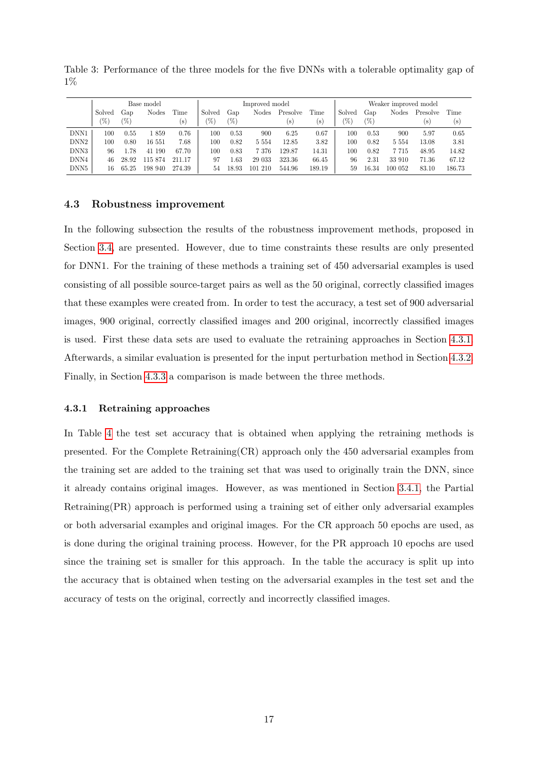|                  |        |       |            |        | Improved model |       |              |          |        |                       |       |         |          |        |
|------------------|--------|-------|------------|--------|----------------|-------|--------------|----------|--------|-----------------------|-------|---------|----------|--------|
|                  |        |       | Base model |        |                |       |              |          |        | Weaker improved model |       |         |          |        |
|                  | Solved | Gap   | Nodes      | Time   | Solved         | Gap   | <b>Nodes</b> | Presolve | Time   | Solved                | Gap   | Nodes   | Presolve | Time   |
|                  | 76)    | 70)   |            | (s)    | 70.            | (%)   |              | (s)      | (s)    | '%)                   | (%)   |         | s        | (s)    |
| DNN1             | 100    | 0.55  | 1859       | 0.76   | 100            | 0.53  | 900          | 6.25     | 0.67   | 100                   | 0.53  | 900     | 5.97     | 0.65   |
| DNN <sub>2</sub> | 100    | 0.80  | 16 551     | 7.68   | 100            | 0.82  | 5 5 5 4      | 12.85    | 3.82   | 100                   | 0.82  | 5 5 5 4 | 13.08    | 3.81   |
| DNN3             | 96     | .78   | 41 190     | 67.70  | 100            | 0.83  | 7 3 7 6      | 129.87   | 14.31  | 100                   | 0.82  | 7715    | 48.95    | 14.82  |
| DNN4             | 46     | 28.92 | 115 874    | 211.17 | 97             | . 63  | 29 033       | 323.36   | 66.45  | 96                    | 2.31  | 33 910  | 71.36    | 67.12  |
| DNN5             | 16     | 65.25 | 198 940    | 274.39 | 54             | 18.93 | 101 210      | 544.96   | 189.19 | 59                    | 16.34 | 100 052 | 83.10    | 186.73 |

<span id="page-17-2"></span>Table 3: Performance of the three models for the five DNNs with a tolerable optimality gap of 1%

#### <span id="page-17-0"></span>4.3 Robustness improvement

In the following subsection the results of the robustness improvement methods, proposed in Section [3.4,](#page-9-0) are presented. However, due to time constraints these results are only presented for DNN1. For the training of these methods a training set of 450 adversarial examples is used consisting of all possible source-target pairs as well as the 50 original, correctly classified images that these examples were created from. In order to test the accuracy, a test set of 900 adversarial images, 900 original, correctly classified images and 200 original, incorrectly classified images is used. First these data sets are used to evaluate the retraining approaches in Section [4.3.1.](#page-17-1) Afterwards, a similar evaluation is presented for the input perturbation method in Section [4.3.2.](#page-18-0) Finally, in Section [4.3.3](#page-19-0) a comparison is made between the three methods.

## <span id="page-17-1"></span>4.3.1 Retraining approaches

In Table [4](#page-18-1) the test set accuracy that is obtained when applying the retraining methods is presented. For the Complete Retraining(CR) approach only the 450 adversarial examples from the training set are added to the training set that was used to originally train the DNN, since it already contains original images. However, as was mentioned in Section [3.4.1,](#page-9-1) the Partial Retraining(PR) approach is performed using a training set of either only adversarial examples or both adversarial examples and original images. For the CR approach 50 epochs are used, as is done during the original training process. However, for the PR approach 10 epochs are used since the training set is smaller for this approach. In the table the accuracy is split up into the accuracy that is obtained when testing on the adversarial examples in the test set and the accuracy of tests on the original, correctly and incorrectly classified images.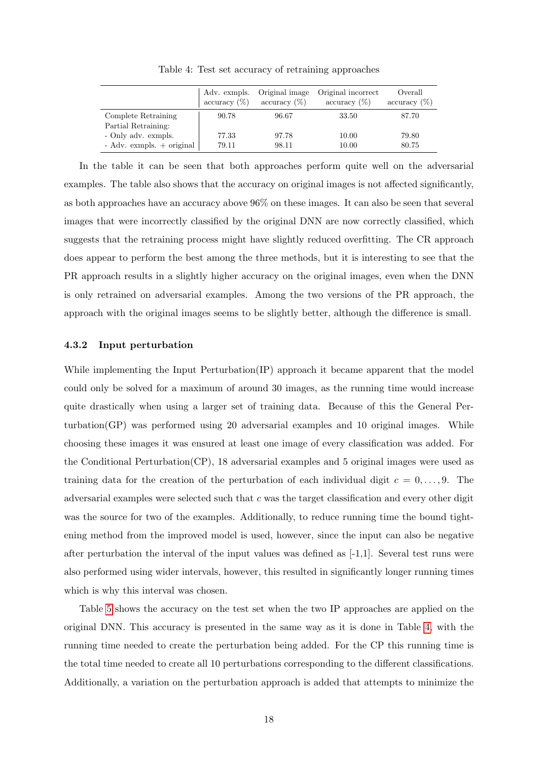<span id="page-18-1"></span>

|                               | Adv. exmpls.<br>accuracy $(\%)$ | Original image<br>$\arctan(y(\%)$ | Original incorrect<br>accuracy $(\%)$ | Overall<br>accuracy $(\%)$ |
|-------------------------------|---------------------------------|-----------------------------------|---------------------------------------|----------------------------|
| Complete Retraining           | 90.78                           | 96.67                             | 33.50                                 | 87.70                      |
| Partial Retraining:           |                                 |                                   |                                       |                            |
| - Only adv. exmpls.           | 77.33                           | 97.78                             | 10.00                                 | 79.80                      |
| $-$ Adv. exmpls. $+$ original | 79.11                           | 98.11                             | 10.00                                 | 80.75                      |

Table 4: Test set accuracy of retraining approaches

In the table it can be seen that both approaches perform quite well on the adversarial examples. The table also shows that the accuracy on original images is not affected significantly, as both approaches have an accuracy above 96% on these images. It can also be seen that several images that were incorrectly classified by the original DNN are now correctly classified, which suggests that the retraining process might have slightly reduced overfitting. The CR approach does appear to perform the best among the three methods, but it is interesting to see that the PR approach results in a slightly higher accuracy on the original images, even when the DNN is only retrained on adversarial examples. Among the two versions of the PR approach, the approach with the original images seems to be slightly better, although the difference is small.

#### <span id="page-18-0"></span>4.3.2 Input perturbation

While implementing the Input Perturbation(IP) approach it became apparent that the model could only be solved for a maximum of around 30 images, as the running time would increase quite drastically when using a larger set of training data. Because of this the General Perturbation(GP) was performed using 20 adversarial examples and 10 original images. While choosing these images it was ensured at least one image of every classification was added. For the Conditional Perturbation(CP), 18 adversarial examples and 5 original images were used as training data for the creation of the perturbation of each individual digit  $c = 0, \ldots, 9$ . The adversarial examples were selected such that  $c$  was the target classification and every other digit was the source for two of the examples. Additionally, to reduce running time the bound tightening method from the improved model is used, however, since the input can also be negative after perturbation the interval of the input values was defined as [-1,1]. Several test runs were also performed using wider intervals, however, this resulted in significantly longer running times which is why this interval was chosen.

Table [5](#page-19-1) shows the accuracy on the test set when the two IP approaches are applied on the original DNN. This accuracy is presented in the same way as it is done in Table [4,](#page-18-1) with the running time needed to create the perturbation being added. For the CP this running time is the total time needed to create all 10 perturbations corresponding to the different classifications. Additionally, a variation on the perturbation approach is added that attempts to minimize the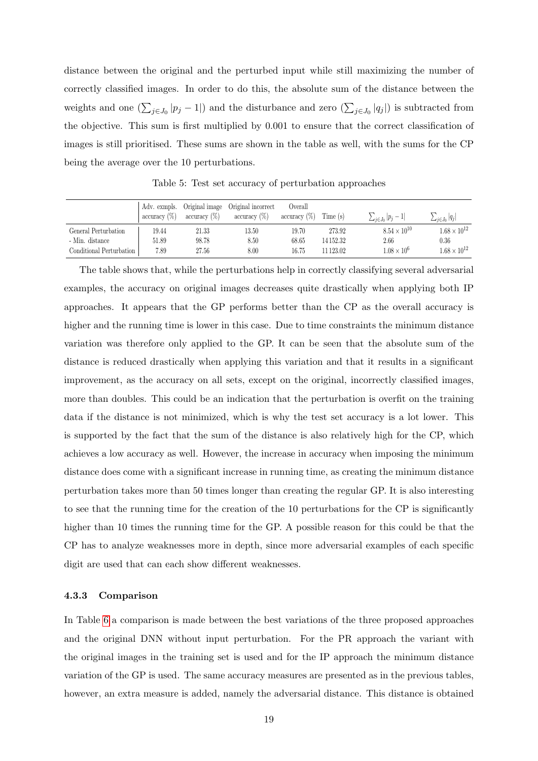distance between the original and the perturbed input while still maximizing the number of correctly classified images. In order to do this, the absolute sum of the distance between the weights and one  $(\sum_{j\in J_0} |p_j - 1|)$  and the disturbance and zero  $(\sum_{j\in J_0} |q_j|)$  is subtracted from the objective. This sum is first multiplied by 0.001 to ensure that the correct classification of images is still prioritised. These sums are shown in the table as well, with the sums for the CP being the average over the 10 perturbations.

<span id="page-19-1"></span>

|                          | $\arctan\left(\frac{\%}{6}\right)$ | Adv. exmpls. Original image<br>$\arctan\left(\frac{\%}{6}\right)$ | Original incorrect<br>$\arctan\left(\frac{\%}{6}\right)$ | Overall<br>$\arctan\left(\frac{\%}{6}\right)$ | Time (s)  | $\sum_{i \in J_0}  p_j - 1 $ | $\sum_{j\in J_0} q_j $ |
|--------------------------|------------------------------------|-------------------------------------------------------------------|----------------------------------------------------------|-----------------------------------------------|-----------|------------------------------|------------------------|
| General Perturbation     | 19.44                              | 21.33                                                             | 13.50                                                    | 19.70                                         | 273.92    | $8.54 \times 10^{10}$        | $1.68 \times 10^{12}$  |
| - Min. distance          | 51.89                              | 98.78                                                             | 8.50                                                     | 68.65                                         | 14 152.32 | 2.66                         | 0.36                   |
| Conditional Perturbation | 7.89                               | 27.56                                                             | 8.00                                                     | 16.75                                         | 11 123.02 | $1.08 \times 10^{6}$         | $1.68 \times 10^{12}$  |

Table 5: Test set accuracy of perturbation approaches

The table shows that, while the perturbations help in correctly classifying several adversarial examples, the accuracy on original images decreases quite drastically when applying both IP approaches. It appears that the GP performs better than the CP as the overall accuracy is higher and the running time is lower in this case. Due to time constraints the minimum distance variation was therefore only applied to the GP. It can be seen that the absolute sum of the distance is reduced drastically when applying this variation and that it results in a significant improvement, as the accuracy on all sets, except on the original, incorrectly classified images, more than doubles. This could be an indication that the perturbation is overfit on the training data if the distance is not minimized, which is why the test set accuracy is a lot lower. This is supported by the fact that the sum of the distance is also relatively high for the CP, which achieves a low accuracy as well. However, the increase in accuracy when imposing the minimum distance does come with a significant increase in running time, as creating the minimum distance perturbation takes more than 50 times longer than creating the regular GP. It is also interesting to see that the running time for the creation of the 10 perturbations for the CP is significantly higher than 10 times the running time for the GP. A possible reason for this could be that the CP has to analyze weaknesses more in depth, since more adversarial examples of each specific digit are used that can each show different weaknesses.

#### <span id="page-19-0"></span>4.3.3 Comparison

In Table [6](#page-20-1) a comparison is made between the best variations of the three proposed approaches and the original DNN without input perturbation. For the PR approach the variant with the original images in the training set is used and for the IP approach the minimum distance variation of the GP is used. The same accuracy measures are presented as in the previous tables, however, an extra measure is added, namely the adversarial distance. This distance is obtained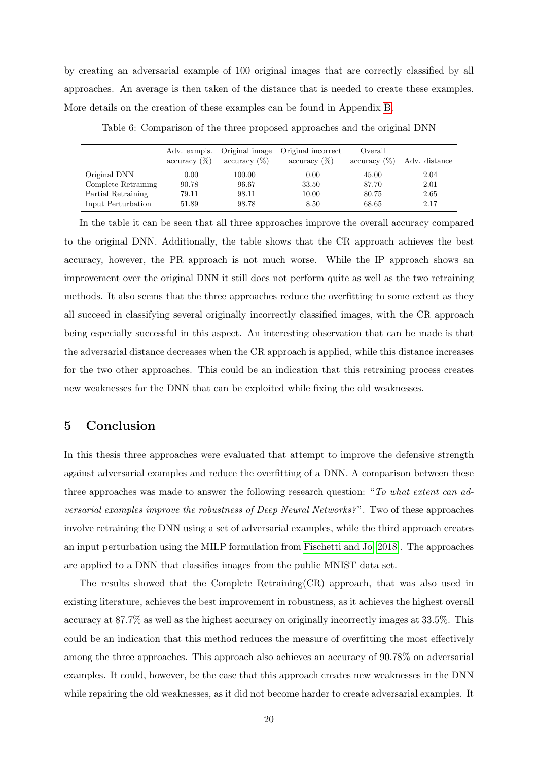by creating an adversarial example of 100 original images that are correctly classified by all approaches. An average is then taken of the distance that is needed to create these examples. More details on the creation of these examples can be found in Appendix [B.](#page-24-0)

<span id="page-20-1"></span>

|                                    | Adv. exmpls.<br>$\arctan\left(\frac{\%}{6}\right)$ | Original image<br>$\arctan(y(\%)$ | Original incorrect<br>$\arctan(y(\%)$ | Overall<br>$\arctan(y(\%)$ | Adv. distance |
|------------------------------------|----------------------------------------------------|-----------------------------------|---------------------------------------|----------------------------|---------------|
| Original DNN                       | 0.00                                               | 100.00                            | 0.00                                  | 45.00                      | 2.04          |
| Complete Retraining $\overline{a}$ | 90.78                                              | 96.67                             | 33.50                                 | 87.70                      | 2.01          |
| Partial Retraining                 | 79.11                                              | 98.11                             | 10.00                                 | 80.75                      | 2.65          |
| Input Perturbation                 | 51.89                                              | 98.78                             | 8.50                                  | 68.65                      | 2.17          |

Table 6: Comparison of the three proposed approaches and the original DNN

In the table it can be seen that all three approaches improve the overall accuracy compared to the original DNN. Additionally, the table shows that the CR approach achieves the best accuracy, however, the PR approach is not much worse. While the IP approach shows an improvement over the original DNN it still does not perform quite as well as the two retraining methods. It also seems that the three approaches reduce the overfitting to some extent as they all succeed in classifying several originally incorrectly classified images, with the CR approach being especially successful in this aspect. An interesting observation that can be made is that the adversarial distance decreases when the CR approach is applied, while this distance increases for the two other approaches. This could be an indication that this retraining process creates new weaknesses for the DNN that can be exploited while fixing the old weaknesses.

## <span id="page-20-0"></span>5 Conclusion

In this thesis three approaches were evaluated that attempt to improve the defensive strength against adversarial examples and reduce the overfitting of a DNN. A comparison between these three approaches was made to answer the following research question: "To what extent can adversarial examples improve the robustness of Deep Neural Networks?". Two of these approaches involve retraining the DNN using a set of adversarial examples, while the third approach creates an input perturbation using the MILP formulation from [Fischetti and Jo](#page-22-0) [\[2018\]](#page-22-0). The approaches are applied to a DNN that classifies images from the public MNIST data set.

The results showed that the Complete Retraining(CR) approach, that was also used in existing literature, achieves the best improvement in robustness, as it achieves the highest overall accuracy at 87.7% as well as the highest accuracy on originally incorrectly images at 33.5%. This could be an indication that this method reduces the measure of overfitting the most effectively among the three approaches. This approach also achieves an accuracy of 90.78% on adversarial examples. It could, however, be the case that this approach creates new weaknesses in the DNN while repairing the old weaknesses, as it did not become harder to create adversarial examples. It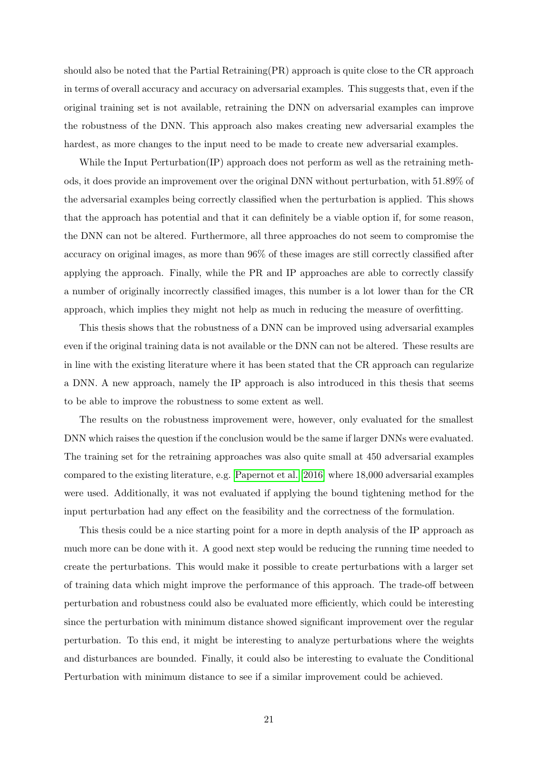should also be noted that the Partial Retraining(PR) approach is quite close to the CR approach in terms of overall accuracy and accuracy on adversarial examples. This suggests that, even if the original training set is not available, retraining the DNN on adversarial examples can improve the robustness of the DNN. This approach also makes creating new adversarial examples the hardest, as more changes to the input need to be made to create new adversarial examples.

While the Input Perturbation(IP) approach does not perform as well as the retraining methods, it does provide an improvement over the original DNN without perturbation, with 51.89% of the adversarial examples being correctly classified when the perturbation is applied. This shows that the approach has potential and that it can definitely be a viable option if, for some reason, the DNN can not be altered. Furthermore, all three approaches do not seem to compromise the accuracy on original images, as more than 96% of these images are still correctly classified after applying the approach. Finally, while the PR and IP approaches are able to correctly classify a number of originally incorrectly classified images, this number is a lot lower than for the CR approach, which implies they might not help as much in reducing the measure of overfitting.

This thesis shows that the robustness of a DNN can be improved using adversarial examples even if the original training data is not available or the DNN can not be altered. These results are in line with the existing literature where it has been stated that the CR approach can regularize a DNN. A new approach, namely the IP approach is also introduced in this thesis that seems to be able to improve the robustness to some extent as well.

The results on the robustness improvement were, however, only evaluated for the smallest DNN which raises the question if the conclusion would be the same if larger DNNs were evaluated. The training set for the retraining approaches was also quite small at 450 adversarial examples compared to the existing literature, e.g. [Papernot et al.](#page-22-2) [\[2016\]](#page-22-2) where 18,000 adversarial examples were used. Additionally, it was not evaluated if applying the bound tightening method for the input perturbation had any effect on the feasibility and the correctness of the formulation.

This thesis could be a nice starting point for a more in depth analysis of the IP approach as much more can be done with it. A good next step would be reducing the running time needed to create the perturbations. This would make it possible to create perturbations with a larger set of training data which might improve the performance of this approach. The trade-off between perturbation and robustness could also be evaluated more efficiently, which could be interesting since the perturbation with minimum distance showed significant improvement over the regular perturbation. To this end, it might be interesting to analyze perturbations where the weights and disturbances are bounded. Finally, it could also be interesting to evaluate the Conditional Perturbation with minimum distance to see if a similar improvement could be achieved.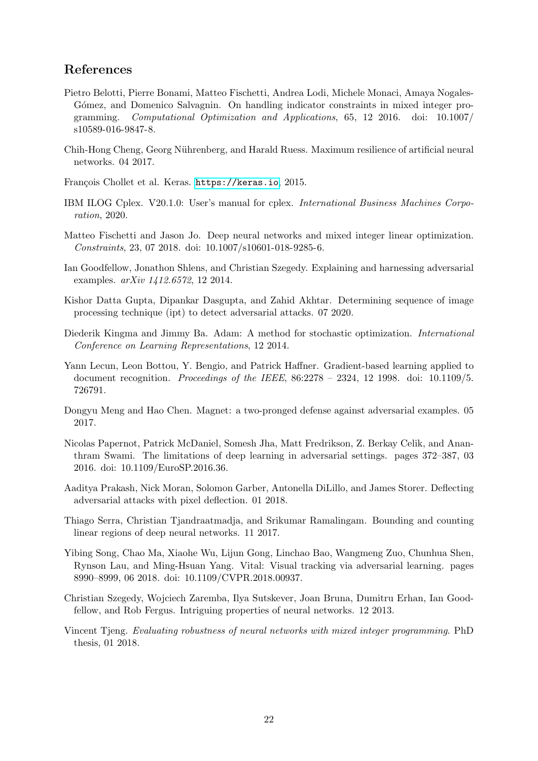## <span id="page-22-1"></span>References

- <span id="page-22-12"></span>Pietro Belotti, Pierre Bonami, Matteo Fischetti, Andrea Lodi, Michele Monaci, Amaya Nogales-Gómez, and Domenico Salvagnin. On handling indicator constraints in mixed integer programming. Computational Optimization and Applications, 65, 12 2016. doi: 10.1007/ s10589-016-9847-8.
- <span id="page-22-6"></span>Chih-Hong Cheng, Georg Nührenberg, and Harald Ruess. Maximum resilience of artificial neural networks. 04 2017.
- <span id="page-22-15"></span>François Chollet et al. Keras. <https://keras.io>, 2015.
- <span id="page-22-16"></span>IBM ILOG Cplex. V20.1.0: User's manual for cplex. International Business Machines Corporation, 2020.
- <span id="page-22-0"></span>Matteo Fischetti and Jason Jo. Deep neural networks and mixed integer linear optimization. Constraints, 23, 07 2018. doi: 10.1007/s10601-018-9285-6.
- <span id="page-22-3"></span>Ian Goodfellow, Jonathon Shlens, and Christian Szegedy. Explaining and harnessing adversarial examples. arXiv 1412.6572, 12 2014.
- <span id="page-22-11"></span>Kishor Datta Gupta, Dipankar Dasgupta, and Zahid Akhtar. Determining sequence of image processing technique (ipt) to detect adversarial attacks. 07 2020.
- <span id="page-22-14"></span>Diederik Kingma and Jimmy Ba. Adam: A method for stochastic optimization. International Conference on Learning Representations, 12 2014.
- <span id="page-22-4"></span>Yann Lecun, Leon Bottou, Y. Bengio, and Patrick Haffner. Gradient-based learning applied to document recognition. Proceedings of the IEEE, 86:2278 – 2324, 12 1998. doi: 10.1109/5. 726791.
- <span id="page-22-10"></span>Dongyu Meng and Hao Chen. Magnet: a two-pronged defense against adversarial examples. 05 2017.
- <span id="page-22-2"></span>Nicolas Papernot, Patrick McDaniel, Somesh Jha, Matt Fredrikson, Z. Berkay Celik, and Ananthram Swami. The limitations of deep learning in adversarial settings. pages 372–387, 03 2016. doi: 10.1109/EuroSP.2016.36.
- <span id="page-22-9"></span>Aaditya Prakash, Nick Moran, Solomon Garber, Antonella DiLillo, and James Storer. Deflecting adversarial attacks with pixel deflection. 01 2018.
- <span id="page-22-7"></span>Thiago Serra, Christian Tjandraatmadja, and Srikumar Ramalingam. Bounding and counting linear regions of deep neural networks. 11 2017.
- <span id="page-22-13"></span>Yibing Song, Chao Ma, Xiaohe Wu, Lijun Gong, Linchao Bao, Wangmeng Zuo, Chunhua Shen, Rynson Lau, and Ming-Hsuan Yang. Vital: Visual tracking via adversarial learning. pages 8990–8999, 06 2018. doi: 10.1109/CVPR.2018.00937.
- <span id="page-22-8"></span>Christian Szegedy, Wojciech Zaremba, Ilya Sutskever, Joan Bruna, Dumitru Erhan, Ian Goodfellow, and Rob Fergus. Intriguing properties of neural networks. 12 2013.
- <span id="page-22-5"></span>Vincent Tjeng. Evaluating robustness of neural networks with mixed integer programming. PhD thesis, 01 2018.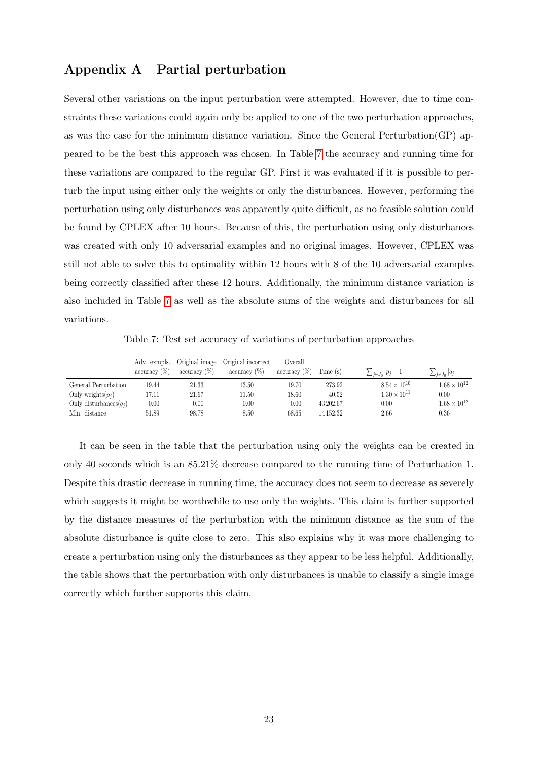# <span id="page-23-0"></span>Appendix A Partial perturbation

Several other variations on the input perturbation were attempted. However, due to time constraints these variations could again only be applied to one of the two perturbation approaches, as was the case for the minimum distance variation. Since the General Perturbation(GP) appeared to be the best this approach was chosen. In Table [7](#page-23-1) the accuracy and running time for these variations are compared to the regular GP. First it was evaluated if it is possible to perturb the input using either only the weights or only the disturbances. However, performing the perturbation using only disturbances was apparently quite difficult, as no feasible solution could be found by CPLEX after 10 hours. Because of this, the perturbation using only disturbances was created with only 10 adversarial examples and no original images. However, CPLEX was still not able to solve this to optimality within 12 hours with 8 of the 10 adversarial examples being correctly classified after these 12 hours. Additionally, the minimum distance variation is also included in Table [7](#page-23-1) as well as the absolute sums of the weights and disturbances for all variations.

Table 7: Test set accuracy of variations of perturbation approaches

<span id="page-23-1"></span>

|                           | $\arctan(y)$ | Adv. exmpls. Original image<br>$\arctan\left(\frac{\%}{6}\right)$ | Original incorrect<br>$\arctan\left(\frac{\%}{\%}\right)$ | Overall<br>$\arctan\left(\frac{\%}{\%}\right)$ | Time (s)  | $\sum_{j\in J_0}  p_j - 1 $ | $\sum_{j\in J_0} q_j $ |
|---------------------------|--------------|-------------------------------------------------------------------|-----------------------------------------------------------|------------------------------------------------|-----------|-----------------------------|------------------------|
| General Perturbation      | 19.44        | 21.33                                                             | 13.50                                                     | 19.70                                          | 273.92    | $8.54 \times 10^{10}$       | $1.68 \times 10^{12}$  |
| Only weights $(p_i)$      | 17.11        | 21.67                                                             | 11.50                                                     | 18.60                                          | 40.52     | $1.30 \times 10^{11}$       | 0.00                   |
| Only disturbances $(q_i)$ | 0.00         | 0.00                                                              | 0.00                                                      | 0.00                                           | 43 202.67 | 0.00                        | $1.68 \times 10^{12}$  |
| Min. distance             | 51.89        | 98.78                                                             | 8.50                                                      | 68.65                                          | 14 152.32 | 2.66                        | 0.36                   |

It can be seen in the table that the perturbation using only the weights can be created in only 40 seconds which is an 85.21% decrease compared to the running time of Perturbation 1. Despite this drastic decrease in running time, the accuracy does not seem to decrease as severely which suggests it might be worthwhile to use only the weights. This claim is further supported by the distance measures of the perturbation with the minimum distance as the sum of the absolute disturbance is quite close to zero. This also explains why it was more challenging to create a perturbation using only the disturbances as they appear to be less helpful. Additionally, the table shows that the perturbation with only disturbances is unable to classify a single image correctly which further supports this claim.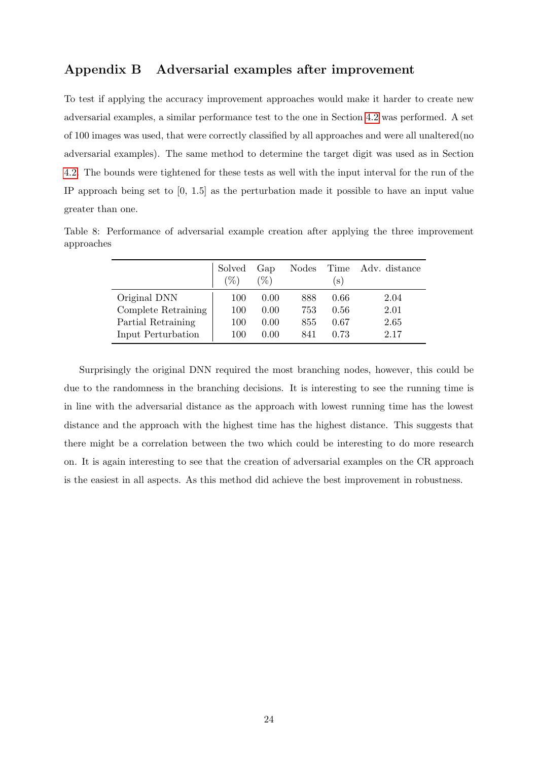## <span id="page-24-0"></span>Appendix B Adversarial examples after improvement

To test if applying the accuracy improvement approaches would make it harder to create new adversarial examples, a similar performance test to the one in Section [4.2](#page-15-0) was performed. A set of 100 images was used, that were correctly classified by all approaches and were all unaltered(no adversarial examples). The same method to determine the target digit was used as in Section [4.2.](#page-15-0) The bounds were tightened for these tests as well with the input interval for the run of the IP approach being set to [0, 1.5] as the perturbation made it possible to have an input value greater than one.

Table 8: Performance of adversarial example creation after applying the three improvement approaches

|                     | Solved<br>$\mathcal{C}_{0}$ | Gap<br>$(\%)$ | <b>Nodes</b> | $\vert$ S $\rangle$ | Time Adv. distance |
|---------------------|-----------------------------|---------------|--------------|---------------------|--------------------|
| Original DNN        | 100                         | 0.00          | 888          | 0.66                | 2.04               |
| Complete Retraining | 100                         | 0.00          | 753          | 0.56                | 2.01               |
| Partial Retraining  | 100                         | 0.00          | 855          | 0.67                | 2.65               |
| Input Perturbation  | 100                         | 0.00          | 841          | 0.73                | 2.17               |

Surprisingly the original DNN required the most branching nodes, however, this could be due to the randomness in the branching decisions. It is interesting to see the running time is in line with the adversarial distance as the approach with lowest running time has the lowest distance and the approach with the highest time has the highest distance. This suggests that there might be a correlation between the two which could be interesting to do more research on. It is again interesting to see that the creation of adversarial examples on the CR approach is the easiest in all aspects. As this method did achieve the best improvement in robustness.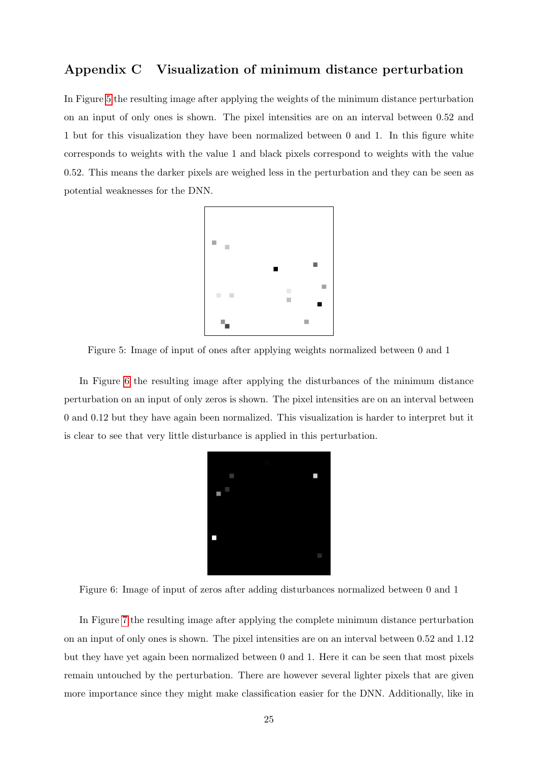# <span id="page-25-0"></span>Appendix C Visualization of minimum distance perturbation

<span id="page-25-1"></span>In Figure [5](#page-25-1) the resulting image after applying the weights of the minimum distance perturbation on an input of only ones is shown. The pixel intensities are on an interval between 0.52 and 1 but for this visualization they have been normalized between 0 and 1. In this figure white corresponds to weights with the value 1 and black pixels correspond to weights with the value 0.52. This means the darker pixels are weighed less in the perturbation and they can be seen as potential weaknesses for the DNN.



Figure 5: Image of input of ones after applying weights normalized between 0 and 1

<span id="page-25-2"></span>In Figure [6](#page-25-2) the resulting image after applying the disturbances of the minimum distance perturbation on an input of only zeros is shown. The pixel intensities are on an interval between 0 and 0.12 but they have again been normalized. This visualization is harder to interpret but it is clear to see that very little disturbance is applied in this perturbation.



Figure 6: Image of input of zeros after adding disturbances normalized between 0 and 1

In Figure [7](#page-26-0) the resulting image after applying the complete minimum distance perturbation on an input of only ones is shown. The pixel intensities are on an interval between 0.52 and 1.12 but they have yet again been normalized between 0 and 1. Here it can be seen that most pixels remain untouched by the perturbation. There are however several lighter pixels that are given more importance since they might make classification easier for the DNN. Additionally, like in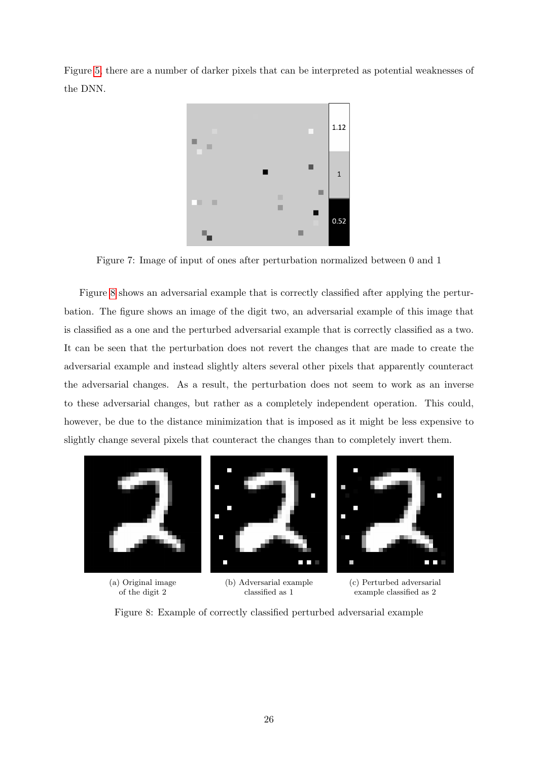<span id="page-26-0"></span>Figure [5,](#page-25-1) there are a number of darker pixels that can be interpreted as potential weaknesses of the DNN.



Figure 7: Image of input of ones after perturbation normalized between 0 and 1

Figure [8](#page-26-1) shows an adversarial example that is correctly classified after applying the perturbation. The figure shows an image of the digit two, an adversarial example of this image that is classified as a one and the perturbed adversarial example that is correctly classified as a two. It can be seen that the perturbation does not revert the changes that are made to create the adversarial example and instead slightly alters several other pixels that apparently counteract the adversarial changes. As a result, the perturbation does not seem to work as an inverse to these adversarial changes, but rather as a completely independent operation. This could, however, be due to the distance minimization that is imposed as it might be less expensive to slightly change several pixels that counteract the changes than to completely invert them.

<span id="page-26-1"></span>

Figure 8: Example of correctly classified perturbed adversarial example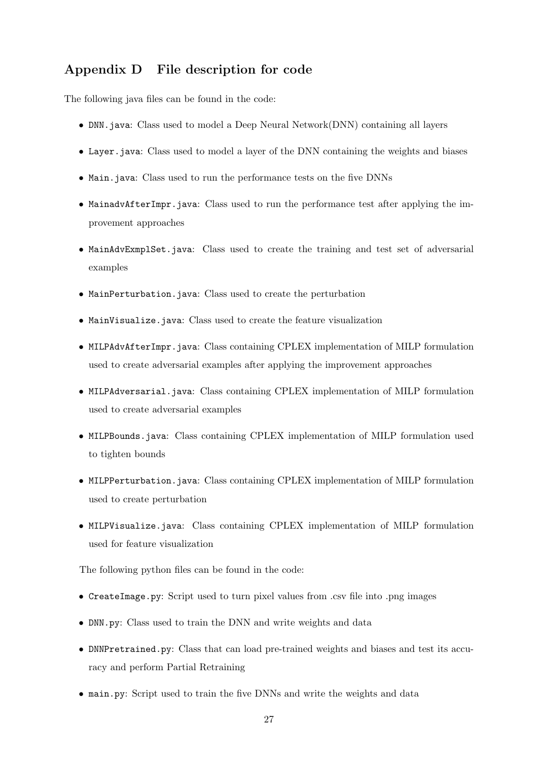# <span id="page-27-0"></span>Appendix D File description for code

The following java files can be found in the code:

- DNN, java: Class used to model a Deep Neural Network(DNN) containing all layers
- Layer.java: Class used to model a layer of the DNN containing the weights and biases
- Main.java: Class used to run the performance tests on the five DNNs
- MainadvAfterImpr.java: Class used to run the performance test after applying the improvement approaches
- MainAdvExmplSet.java: Class used to create the training and test set of adversarial examples
- MainPerturbation.java: Class used to create the perturbation
- MainVisualize.java: Class used to create the feature visualization
- MILPAdvAfterImpr.java: Class containing CPLEX implementation of MILP formulation used to create adversarial examples after applying the improvement approaches
- MILPAdversarial.java: Class containing CPLEX implementation of MILP formulation used to create adversarial examples
- MILPBounds.java: Class containing CPLEX implementation of MILP formulation used to tighten bounds
- MILPPerturbation.java: Class containing CPLEX implementation of MILP formulation used to create perturbation
- MILPVisualize.java: Class containing CPLEX implementation of MILP formulation used for feature visualization

The following python files can be found in the code:

- CreateImage.py: Script used to turn pixel values from .csv file into .png images
- DNN.py: Class used to train the DNN and write weights and data
- DNNPretrained.py: Class that can load pre-trained weights and biases and test its accuracy and perform Partial Retraining
- main.py: Script used to train the five DNNs and write the weights and data